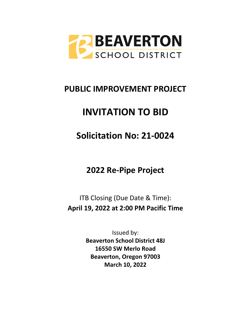

# **PUBLIC IMPROVEMENT PROJECT**

# **INVITATION TO BID**

# **Solicitation No: 21-0024**

**2022 Re-Pipe Project**

ITB Closing (Due Date & Time): **April 19, 2022 at 2:00 PM Pacific Time**

> Issued by: **Beaverton School District 48J 16550 SW Merlo Road Beaverton, Oregon 97003 March 10, 2022**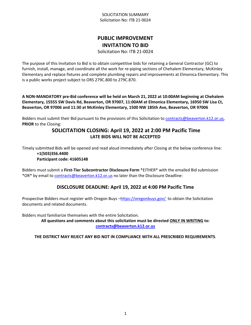# **PUBLIC IMPROVEMENT INVITATION TO BID**

Solicitation No: ITB 21-0024

The purpose of this Invitation to Bid is to obtain competitive bids for retaining a General Contractor (GC) to furnish, install, manage, and coordinate all the work for re-piping sections of Chehalem Elementary, McKinley Elementary and replace fixtures and complete plumbing repairs and improvements at Elmonica Elementary. This is a public works project subject to ORS 279C.800 to 279C.870.

**A NON-MANDATORY pre-Bid conference will be held on March 21, 2022 at 10:00AM beginning at Chehalem Elementary, 15555 SW Davis Rd, Beaverton, OR 97007, 11:00AM at Elmonica Elementary, 16950 SW Lisa Ct, Beaverton, OR 97006 and 11:30 at McKinley Elementary, 1500 NW 185th Ave, Beaverton, OR 97006**

Bidders must submit their Bid pursuant to the provisions of this Solicitation to [contracts@beaverton.k12.or.us,](mailto:contracts@beaverton.k12.or.us) **PRIOR** to the Closing:

# **SOLICITATION CLOSING: April 19, 2022 at 2:00 PM Pacific Time LATE BIDS WILL NOT BE ACCEPTED**

Timely submitted Bids will be opened and read aloud immediately after Closing at the below conference line: **+1(503)356.4400**

#### **Participant code: 41605148**

Bidders must submit a **First-Tier Subcontractor Disclosure Form** \*EITHER\* with the emailed Bid submission \*OR\* by email to [contracts@beaverton.k12.or.us](mailto:contracts@beaverton.k12.or.us) no later than the Disclosure Deadline:

# **DISCLOSURE DEADLINE: April 19, 2022 at 4:00 PM Pacific Time**

Prospective Bidders must register with Oregon Buys -<https://oregonbuys.gov/>to obtain the Solicitation documents and related documents.

Bidders must familiarize themselves with the entire Solicitation.

**All questions and comments about this solicitation must be directed ONLY IN WRITING to: [contracts@beaverton.k12.or.us](mailto:contracts@beaverton.k12.or.us)**

# **THE DISTRICT MAY REJECT ANY BID NOT IN COMPLIANCE WITH ALL PRESCRIBED REQUIREMENTS**.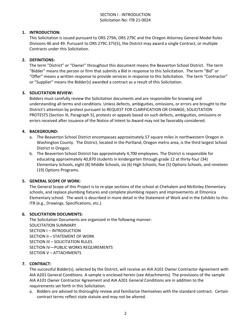# SECTION I - INTRODUCTION Solicitation No: ITB 21-0024

# **1. INTRODUCTION:**

This Solicitation is issued pursuant to ORS 279A, ORS 279C and the Oregon Attorney General Model Rules Divisions 46 and 49. Pursuant to ORS 279C.375(5), the District may award a single Contract, or multiple Contracts under this Solicitation.

#### **2. DEFINITIONS:**

The term "District" or "Owner" throughout this document means the Beaverton School District. The term "Bidder" means the person or firm that submits a Bid in response to this Solicitation. The term "Bid" or "Offer" means a written response to provide services in response to this Solicitation. The term "Contractor" or "Supplier" means the Bidder(s) awarded a contract as a result of this Solicitation.

#### **3. SOLICITATION REVIEW:**

Bidders must carefully review the Solicitation documents and are responsible for knowing and understanding all terms and conditions. Unless defects, ambiguities, omissions, or errors are brought to the District's attention by protest pursuant to REQUEST FOR CLARIFICATION OR CHANGE; SOLICITATION PROTESTS (Section III, Paragraph 5), protests or appeals based on such defects, ambiguities, omissions or errors received after issuance of the Notice of Intent to Award may not be favorably considered.

# **4. BACKGROUND:**

- a. The Beaverton School District encompasses approximately 57 square miles in northwestern Oregon in Washington County. The District, located in the Portland, Oregon metro area, is the third largest School District in Oregon.
- b. The Beaverton School District has approximately 4,700 employees. The District is responsible for educating approximately 40,870 students in kindergarten through grade 12 at thirty-four (34) Elementary Schools, eight (8) Middle Schools, six (6) High Schools, five (5) Options Schools, and nineteen (19) Options Programs.

#### **5. GENERAL SCOPE OF WORK:**

The General Scope of this Project is to re-pipe sections of the school at Chehalem and McKinley Elementary schools, and replace plumbing fixtures and complete plumbing repairs and improvements at Elmonica Elementary school. The work is described in more detail in the Statement of Work and in the Exhibits to this ITB (e.g., Drawings, Specifications, etc.).

#### **6. SOLICITATION DOCUMENTS:**

The Solicitation Documents are organized in the following manner: SOLICITATION SUMMARY SECTION I – INTRODUCTION SECTION II – STATEMENT OF WORK SECTION III – SOLICITATION RULES SECTION IV—PUBLIC WORKS REQUIREMENTS SECTION V – ATTACHMENTS

#### **7. CONTRACT:**

The successful Bidder(s), selected by the District, will receive an AIA A101 Owner Contractor Agreement with AIA A201 General Conditions. A sample is enclosed herein (see Attachments). The provisions of the sample AIA A101 Owner Contractor Agreement and AIA A201 General Conditions are in addition to the requirements set forth in this Solicitation.

a. Bidders are advised to thoroughly review and familiarize themselves with the standard contract. Certain contract terms reflect state statute and may not be altered.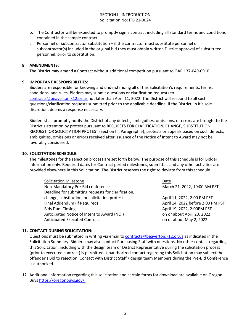# SECTION I - INTRODUCTION Solicitation No: ITB 21-0024

- b. The Contractor will be expected to promptly sign a contract including all standard terms and conditions contained in the sample contract.
- c. Personnel or subcontractor substitution if the contractor must substitute personnel or subcontractor(s) included in the original bid they must obtain written District approval of substituted personnel, prior to substitution.

#### **8. AMENDMENTS:**

The District may amend a Contract without additional competition pursuant to OAR 137-049-0910.

#### **9. IMPORTANT RESPONSIBILITIES:**

Bidders are responsible for knowing and understanding all of this Solicitation's requirements, terms, conditions, and rules. Bidders may submit questions or clarification requests to [contracts@beaverton.k12.or.us](mailto:contracts@beaverton.k12.or.us) not later than April 11, 2022. The District will respond to all such questions/clarification requests submitted prior to the applicable deadline, if the District, in it's sole discretion, deems a response necessary.

Bidders shall promptly notify the District of any defects, ambiguities, omissions, or errors are brought to the District's attention by protest pursuant to REQUESTS FOR CLARIFICATION, CHANGE, SUBSTITUTION REQUEST, OR SOLICITATION PROTEST (Section III, Paragraph 5), protests or appeals based on such defects, ambiguities, omissions or errors received after issuance of the Notice of Intent to Award may not be favorably considered.

#### **10. SOLICITATION SCHEDULE:**

The milestones for the selection process are set forth below. The purpose of this schedule is for Bidder information only. Required dates for Contract period milestones, submittals and any other activities are provided elsewhere in this Solicitation. The District reserves the right to deviate from this schedule.

| <b>Solicitation Milestone</b>                       | Date                              |
|-----------------------------------------------------|-----------------------------------|
| Non-Mandatory Pre-Bid conference                    | March 21, 2022, 10:00 AM PST      |
| Deadline for submitting requests for clarification, |                                   |
| change, substitution, or solicitation protest       | April 11, 2022, 2:00 PM PST       |
| Final Addendum (if Required)                        | April 14, 2022 before 2:00 PM PST |
| <b>Bids Due: Closing</b>                            | April 19, 2022, 2:00PM PST        |
| Anticipated Notice of Intent to Award (NOI)         | on or about April 20, 2022        |
| Anticipated Executed Contract                       | on or about May 2, 2022           |

#### **11. CONTACT DURING SOLICITATION:**

Questions must be submitted in writing via email to [contracts@beaverton.k12.or.us](mailto:contracts@beaverton.k12.or.us) as indicated in the Solicitation Summary. Bidders may also contact Purchasing Staff with questions. No other contact regarding this Solicitation, including with the design team or District Representative during the solicitation process (prior to executed contract) is permitted. Unauthorized contact regarding this Solicitation may subject the offender's Bid to rejection. Contact with District Staff / design team Members during the Pre-Bid Conference is authorized.

**12.** Additional information regarding this solicitation and certain forms for download are available on Oregon Buys <https://oregonbuys.gov/> .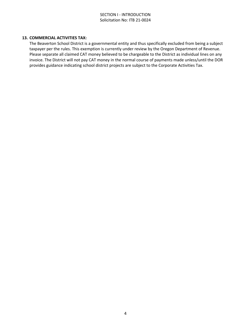# SECTION I - INTRODUCTION Solicitation No: ITB 21-0024

#### **13. COMMERCIAL ACTIVITIES TAX:**

The Beaverton School District is a governmental entity and thus specifically excluded from being a subject taxpayer per the rules. This exemption is currently under review by the Oregon Department of Revenue. Please separate all claimed CAT money believed to be chargeable to the District as individual lines on any invoice. The District will not pay CAT money in the normal course of payments made unless/until the DOR provides guidance indicating school district projects are subject to the Corporate Activities Tax.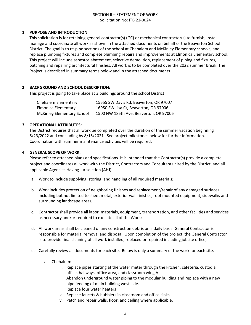# **1. PURPOSE AND INTRODUCTION:**

This solicitation is for retaining general contractor(s) (GC) or mechanical contractor(s) to furnish, install, manage and coordinate all work as shown in the attached documents on behalf of the Beaverton School District. The goal is to re-pipe sections of the school at Chehalem and McKinley Elementary schools, and replace plumbing fixtures and complete plumbing repairs and improvements at Elmonica Elementary school. This project will include asbestos abatement, selective demolition, replacement of piping and fixtures, patching and repairing architectural finishes. All work is to be completed over the 2022 summer break. The Project is described in summary terms below and in the attached documents.

#### **2. BACKGROUND AND SCHOOL DESCRIPTION:**

This project is going to take place at 3 buildings around the school District;

| Chehalem Elementary               | 15555 SW Davis Rd, Beaverton, OR 97007 |
|-----------------------------------|----------------------------------------|
| Elmonica Elementary               | 16950 SW Lisa Ct, Beaverton, OR 97006  |
| <b>McKinley Elementary School</b> | 1500 NW 185th Ave, Beaverton, OR 97006 |

# **3. OPERATIONAL ATTRIBUTES:**

The District requires that all work be completed over the duration of the summer vacation beginning 6/23/2022 and concluding by 8/15/2021. See project milestones below for further information. Coordination with summer maintenance activities will be required.

# **4. GENERAL SCOPE OF WORK:**

Please refer to attached plans and specifications. It is intended that the Contractor(s) provide a complete project and coordinates all work with the District, Contractors and Consultants hired by the District, and all applicable Agencies Having Jurisdiction (AHJ).

- a. Work to include supplying, storing, and handling of all required materials;
- b. Work includes protection of neighboring finishes and replacement/repair of any damaged surfaces including but not limited to sheet metal, exterior wall finishes, roof mounted equipment, sidewalks and surrounding landscape areas;
- c. Contractor shall provide all labor, materials, equipment, transportation, and other facilities and services as necessary and/or required to execute all of the Work;
- d. All work areas shall be cleaned of any construction debris on a daily basis. General Contractor is responsible for material removal and disposal. Upon completion of the project, the General Contractor is to provide final cleaning of all work installed, replaced or repaired including jobsite office;
- e. Carefully review all documents for each site. Below is only a summary of the work for each site.
	- a. Chehalem:
		- i. Replace pipes starting at the water meter through the kitchen, cafeteria, custodial office, hallways, office area, and classroom wing A.
		- ii. Abandon underground water piping to the modular building and replace with a new pipe feeding of main building west side.
		- iii. Replace four water heaters
		- iv. Replace faucets & bubblers in classroom and office sinks.
		- v. Patch and repair walls, floor, and ceiling where applicable.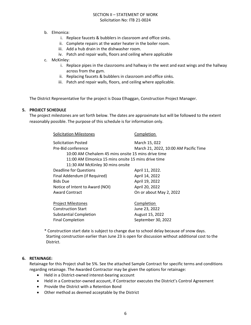# b. Elmonica:

- i. Replace faucets & bubblers in classroom and office sinks.
- ii. Complete repairs at the water heater in the boiler room.
- iii. Add a hub drain in the dishwasher room.
- iv. Patch and repair walls, floors and ceiling where applicable
- c. McKinley:
	- i. Replace pipes in the classrooms and hallway in the west and east wings and the hallway across from the gym.
	- ii. Replacing faucets & bubblers in classroom and office sinks.
	- iii. Patch and repair walls, floors, and ceiling where applicable.

The District Representative for the project is Doaa Elhaggan, Construction Project Manager.

#### **5. PROJECT SCHEDULE**

The project milestones are set forth below. The dates are approximate but will be followed to the extent reasonably possible. The purpose of this schedule is for information only.

| <b>Solicitation Milestones</b>                      | Completion                            |
|-----------------------------------------------------|---------------------------------------|
| Solicitation Posted                                 | March 15, 022                         |
| Pre-Bid conference                                  | March 21, 2022, 10:00 AM Pacific Time |
| 10:00 AM Chehalem 45 mins onsite 15 mins drive time |                                       |
| 11:00 AM Elmonica 15 mins onsite 15 mins drive time |                                       |
| 11:30 AM McKinley 30 mins onsite                    |                                       |
| <b>Deadline for Questions</b>                       | April 11, 2022.                       |
| Final Addendum (if Required)                        | April 14, 2022                        |
| <b>Bids Due</b>                                     | April 19, 2022                        |
| Notice of Intent to Award (NOI)                     | April 20, 2022                        |
| <b>Award Contract</b>                               | On or about May 2, 2022               |
|                                                     |                                       |
| <b>Project Milestones</b>                           | Completion                            |
| <b>Construction Start</b>                           | June 23, 2022                         |
| <b>Substantial Completion</b>                       | August 15, 2022                       |
| <b>Final Completion</b>                             | September 30, 2022                    |
|                                                     |                                       |

\* Construction start date is subject to change due to school delay because of snow days. Starting construction earlier than June 23 is open for discussion without additional cost to the District.

#### **6. RETAINAGE:**

Retainage for this Project shall be 5%. See the attached Sample Contract for specific terms and conditions regarding retainage. The Awarded Contractor may be given the options for retainage:

- Held in a District-owned interest-bearing account
- Held in a Contractor-owned account, if Contractor executes the District's Control Agreement
- Provide the District with a Retention Bond
- Other method as deemed acceptable by the District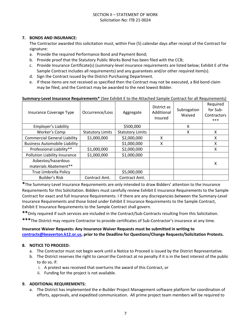#### **7. BONDS AND INSURANCE:**

The Contractor awarded this solicitation must, within Five (5) calendar days after receipt of the Contract for signature:

- a. Provide the required Performance Bond and Payment Bond;
- b. Provide proof that the Statutory Public Works Bond has been filed with the CCB;
- c. Provide Insurance Certificate(s) (summary-level insurance requirements are listed below; Exhibit E of the Sample Contract includes all requirements) and any guarantees and/or other required item(s).
- d. Sign the Contract issued by the District Purchasing Department.
- e. If these items are not received as specified then the Contract may not be executed, a Bid bond claim may be filed, and the Contract may be awarded to the next lowest Bidder.

#### **Summary-Level Insurance Requirements\*** (See Exhibit E to the Attached Sample Contract for all Requirements)

| Insurance Coverage Type              | Occurrence/Loss         | Aggregate               | District as<br>Additional<br>Insured | Subrogation<br>Waived | Required<br>for Sub-<br>Contractors<br>*** |
|--------------------------------------|-------------------------|-------------------------|--------------------------------------|-----------------------|--------------------------------------------|
| Employer's Liability                 |                         | \$500,000               |                                      | X                     |                                            |
| Worker's Comp                        | <b>Statutory Limits</b> | <b>Statutory Limits</b> |                                      | X                     | X                                          |
| <b>Commercial General Liability</b>  | \$1,000,000             | \$2,000,000             | x                                    |                       | x                                          |
| <b>Business Automobile Liability</b> |                         | \$1,000,000             | X                                    |                       | X                                          |
| Professional Liability**             | \$1,000,000             | \$2,000,000             |                                      |                       | X                                          |
| Pollution Liability Insurance        | \$1,000,000             | \$1,000,000             |                                      |                       |                                            |
| Asbestos/hazardous                   |                         |                         |                                      |                       | х                                          |
| materials Abatement**                |                         |                         |                                      |                       |                                            |
| <b>True Umbrella Policy</b>          |                         | \$5,000,000             |                                      |                       |                                            |
| <b>Builder's Risk</b>                | Contract Amt.           | Contract Amt.           |                                      |                       |                                            |

**\***The Summary-Level Insurance Requirements are only intended to draw Bidders' attention to the Insurance Requirements for this Solicitation. Bidders must carefully review Exhibit E Insurance Requirements to the Sample Contract for exact and full Insurance Requirements. I If there are any discrepancies between the Summary-Level Insurance Requirements and those listed under Exhibit E Insurance Requirements to the Sample Contract, Exhibit E Insurance Requirements to the Sample Contract shall govern.

**\*\***Only required if such services are included in the Contract/Sub-Contracts resulting from this Solicitation.

**\*\*\***The District may require Contractor to provide certificates of Sub-Contractor's insurance at any time.

# **Insurance Waiver Requests: Any Insurance Waiver Requests must be submitted in writing to [contracts@beaverton.k12.or.us,](mailto:contracts@beaverton.k12.or.us) prior to the Deadline for Questions/Change Requests/Solicitation Protests.**

#### **8. NOTICE TO PROCEED:**

- a. The Contractor must not begin work until a Notice to Proceed is issued by the District Representative.
- b. The District reserves the right to cancel the Contract at no penalty if it is in the best interest of the public to do so, if:
	- i. A protest was received that overturns the award of this Contract, or
	- ii. Funding for the project is not available.

# **9. ADDITIONAL REQUIREMENTS:**

a. The District has implemented the e-Builder Project Management software platform for coordination of efforts, approvals, and expedited communication. All prime project team members will be required to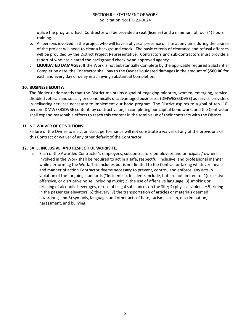utilize the program. Each Contractor will be provided a seat (license) and a minimum of four (4) hours training.

- b. All persons involved in the project who will have a physical presence on site at any time during the course of the project will need to clear a background check. The basic criteria of clearance and refusal offenses will be provided by the District Project Representative. Contractors and sub-contractors must provide a report of who has cleared the background check by an approved agency.
- c. **LIQUIDATED DAMAGES:** If the Work is not Substantially Complete by the applicable required Substantial Completion date, the Contractor shall pay to the Owner liquidated damages in the amount of **\$500.00** for each and every day of delay in achieving Substantial Completion.

#### **10. BUSINESS EQUITY:**

The Bidder understands that the District maintains a goal of engaging minority, women, emerging, servicedisabled veteran and socially or economically disadvantaged businesses (DMWESBSDVBE) as service providers in delivering services necessary to implement our bond program. The District aspires to a goal of ten (10) percent DMWESBSDVBE content, by contract value, in completing our capital bond work, and the Contractor shall expend reasonable efforts to reach this content in the total value of their contracts with the District.

# **11. NO WAIVER OF CONDITIONS**:

Failure of the Owner to insist on strict performance will not constitute a waiver of any of the provisions of this Contract or waiver of any other default of the Contractor.

# **12. SAFE, INCLUSIVE, AND RESPECTFUL WORKSITE.**

a. Each of the Awarded Contractor's employees, subcontractors' employees and principals / owners involved in the Work shall be required to act in a safe, respectful, inclusive, and professional manner while performing the Work. This includes but is not limited to the Contractor taking whatever means and manner of action Contractor deems necessary to prevent, control, and enforce, any acts in violation of the forgoing standards ("Incidents"). Incidents include, but are not limited to: 1)excessive, offensive, or disruptive noise, including music; 2) the use of offensive language; 3) smoking or drinking of alcoholic beverages, or use of illegal substances on the Site; 4) physical violence; 5) riding in the passenger elevators; 6) thievery; 7) the transportation of articles or materials deemed hazardous; and 8) symbols, language, and other acts of hate, racism, sexism, discrimination, harassment, and bullying.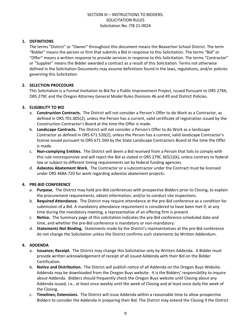# **1. DEFINITIONS**

The terms "District" or "Owner" throughout this document means the Beaverton School District. The term "Bidder" means the person or firm that submits a Bid in response to this Solicitation. The terms "Bid" or "Offer" means a written response to provide services in response to this Solicitation. The terms "Contractor" or "Supplier" means the Bidder awarded a contract as a result of this Solicitation. Terms not otherwise defined in the Solicitation Documents may assume definitions found in the laws, regulations, and/or policies governing this Solicitation.

# **2. SELECTION PROCEDURE**

This Solicitation is a Formal Invitation to Bid for a Public Improvement Project, issued Pursuant to ORS 279A, ORS 279C and the Oregon Attorney General Model Rules Divisions 46 and 49 and District Policies.

# **3. ELIGIBILITY TO BID**

- a. **Construction Contracts.** The District will not consider a Person's Offer to do Work as a Contractor, as defined in ORS 701.005(2), unless the Person has a current, valid certificate of registration issued by the Construction Contractor's Board at the time the Offer is made.
- b. **Landscape Contracts.** The District will not consider a Person's Offer to do Work as a landscape Contractor as defined in ORS 671.520(2), unless the Person has a current, valid landscape Contractor's license issued pursuant to ORS 671.560 by the State Landscape Contractors Board at the time the Offer is made.
- c. **Non-complying Entities.** The District will deem a Bid received from a Person that fails to comply with this rule nonresponsive and will reject the Bid as stated in ORS 279C.365(1)(k), unless contrary to federal law or subject to different timing requirements set by federal funding agencies.
- d. **Asbestos Abatement Work.** The Contractor or a subcontractor under the Contract must be licensed under ORS 468A.720 for work regarding asbestos abatement projects.

#### **4. PRE-BID CONFERENCE**

- a. **Purpose.** The District may hold pre-Bid conferences with prospective Bidders prior to Closing, to explain the procurement requirements, obtain information, and/or to conduct site inspections.
- b. **Required Attendance.** The District may require attendance at the pre-Bid conference as a condition for submission of a Bid. A mandatory attendance requirement is considered to have been met if, at any time during the mandatory meeting, a representative of an offering firm is present.
- c. **Notice.** The Summary page of this solicitation indicates the pre-Bid conference scheduled date and time, and whether the pre-Bid conference is mandatory or non-mandatory.
- d. **Statements Not Binding.** Statements made by the District's representatives at the pre-Bid conference do not change the Solicitation unless the District confirms such statements by Written Addendum.

#### **4. ADDENDA**

- a. **Issuance; Receipt.** The District may change this Solicitation only by Written Addenda. A Bidder must provide written acknowledgement of receipt of all issued Addenda with their Bid on the Bidder Certification.
- b. **Notice and Distribution.** The District will publish notice of all Addenda on the Oregon Buys Website. Addenda may be downloaded from the Oregon Buys website. It is the Bidders' responsibility to inquire about Addenda. Bidders should frequently check the Oregon Buys website until Closing about any Addenda issued, i.e., at least once weekly until the week of Closing and at least once daily the week of the Closing.
- c. **Timelines; Extensions.** The District will issue Addenda within a reasonable time to allow prospective Bidders to consider the Addenda in preparing their Bid. The District may extend the Closing if the District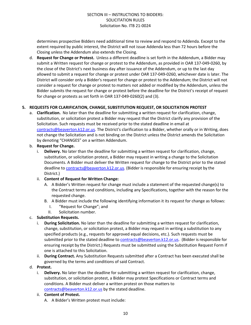determines prospective Bidders need additional time to review and respond to Addenda. Except to the extent required by public interest, the District will not issue Addenda less than 72 hours before the Closing unless the Addendum also extends the Closing.

d. **Request for Change or Protest.** Unless a different deadline is set forth in the Addendum, a Bidder may submit a Written request for change or protest to the Addendum, as provided in OAR 137-049-0260, by the close of the District's next business day after issuance of the Addendum, or up to the last day allowed to submit a request for change or protest under OAR 137-049-0260, whichever date is later. The District will consider only a Bidder's request for change or protest to the Addendum; the District will not consider a request for change or protest to matters not added or modified by the Addendum, unless the Bidder submits the request for change or protest before the deadline for the District's receipt of request for change or protests as set forth in OAR 137-049-0260(2) and (3).

# **5. REQUESTS FOR CLARIFICATION, CHANGE, SUBSTITUTION REQUEST, OR SOLICITATION PROTEST**

a. **Clarification.** No later than the deadline for submitting a written request for clarification, change, substitution, or solicitation protest a Bidder may request that the District clarify any provision of the Solicitation. Such requests must be received prior to the stated deadline in email at [contracts@beaverton.k12.or.us.](mailto:contracts@beaverton.k12.or.us) The District's clarification to a Bidder, whether orally or in Writing, does not change the Solicitation and is not binding on the District unless the District amends the Solicitation by denoting "CHANGES" on a written Addendum.

#### b. **Request for Change.**

i. **Delivery.** No later than the deadline for submitting a written request for clarification, change, substitution, or solicitation protest, a Bidder may request in writing a change to the Solicitation Documents. A Bidder must deliver the Written request for change to the District prior to the stated deadline to [contracts@beaverton.k12.or.us.](mailto:contracts@beaverton.k12.or.us) (Bidder is responsible for ensuring receipt by the District.)

# ii. **Content of Request for Written Change:**

- A. A Bidder's Written request for change must include a statement of the requested change(s) to the Contract terms and conditions, including any Specifications, together with the reason for the requested change.
- B. A Bidder must include the following identifying information it its request for change as follows:
	- I. "Request for Change"; and
	- II. Solicitation number.

# c. **Substitution Requests.**

- i. **During Solicitation.** No later than the deadline for submitting a written request for clarification, change, substitution, or solicitation protest, a Bidder may request in writing a substitution to any specified products (e.g., requests for approved equal decisions, etc.). Such requests must be submitted prior to the stated deadline to [contracts@beaverton.k12.or.us](mailto:contracts@beaverton.k12.or.us). (Bidder is responsible for ensuring receipt by the District.) Requests must be submitted using the Substitution Request Form if one is attached to this Solicitation.
- ii. **During Contract.** Any Substitution Requests submitted after a Contract has been executed shall be governed by the terms and conditions of said Contract.

#### d. **Protest.**

i. **Delivery.** No later than the deadline for submitting a written request for clarification, change, substitution, or solicitation protest, a Bidder may protest Specifications or Contract terms and conditions. A Bidder must deliver a written protest on those matters to [contracts@beaverton.k12.or.us](mailto:contracts@beaverton.k12.or.us) by the stated deadline.

#### ii. **Content of Protest.**

A. A Bidder's Written protest must include: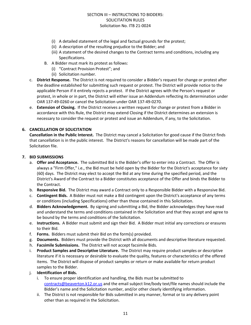- (i) A detailed statement of the legal and factual grounds for the protest;
- (ii) A description of the resulting prejudice to the Bidder; and
- (iii) A statement of the desired changes to the Contract terms and conditions, including any Specifications.
- B. A Bidder must mark its protest as follows:
	- (i) "Contract Provision Protest"; and
	- (ii) Solicitation number.
- c. **District Response.** The District is not required to consider a Bidder's request for change or protest after the deadline established for submitting such request or protest. The District will provide notice to the applicable Person if it entirely rejects a protest. If the District agrees with the Person's request or protest, in whole or in part, the District will either issue an Addendum reflecting its determination under OAR 137-49-0260 or cancel the Solicitation under OAR 137-49-0270.
- e. **Extension of Closing.** If the District receives a written request for change or protest from a Bidder in accordance with this Rule, the District may extend Closing if the District determines an extension is necessary to consider the request or protest and issue an Addendum, if any, to the Solicitation.

# **6. CANCELLATION OF SOLICITATION**

**Cancellation in the Public Interest.** The District may cancel a Solicitation for good cause if the District finds that cancellation is in the public interest. The District's reasons for cancellation will be made part of the Solicitation file.

#### **7. BID SUBMISSIONS**

- a. **Offer and Acceptance.** The submitted Bid is the Bidder's offer to enter into a Contract. The Offer is always a "Firm Offer," i.e., the Bid must be held open by the Bidder for the District's acceptance for sixty (60) days. The District may elect to accept the Bid at any time during the specified period, and the District's Award of the Contract to a Bidder constitutes acceptance of the Offer and binds the Bidder to the Contract.
- b. **Responsive Bid.** The District may award a Contract only to a Responsible Bidder with a Responsive Bid.
- c. **Contingent Bids.** A Bidder must not make a Bid contingent upon the District's acceptance of any terms or conditions (including Specifications) other than those contained in this Solicitation.
- d. **Bidders Acknowledgement.** By signing and submitting a Bid, the Bidder acknowledges they have read and understand the terms and conditions contained in the Solicitation and that they accept and agree to be bound by the terms and conditions of the Solicitation.
- e. **Instructions.** A Bidder must submit and sign their Bid. A Bidder must initial any corrections or erasures to their Bid.
- f. **Forms.** Bidders must submit their Bid on the form(s) provided.
- g. **Documents.** Bidders must provide the District with all documents and descriptive literature requested.
- h. **Facsimile Submissions.** The District will not accept facsimile Bids.
- i. **Product Samples and Descriptive Literature.** The District may require product samples or descriptive literature if it is necessary or desirable to evaluate the quality, features or characteristics of the offered items. The District will dispose of product samples or return or make available for return product samples to the Bidder.
- j. **Identification of Bids.**
	- i. To ensure proper identification and handling, the Bids must be submitted to [contracts@beaverton.k12.or.us](mailto:contracts@beaverton.k12.or.us) and the email subject line/body text/file names should include the Bidder's name and the Solicitation number, and/or other clearly identifying information.
	- ii. The District is not responsible for Bids submitted in any manner, format or to any delivery point other than as required in the Solicitation.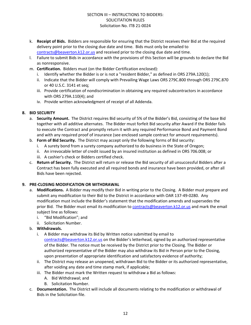- k. **Receipt of Bids.** Bidders are responsible for ensuring that the District receives their Bid at the required delivery point prior to the closing due date and time. Bids must only be emailed to [contracts@beaverton.k12.or.us](mailto:contracts@beaverton.k12.or.us) and received prior to the closing due date and time.
- l. Failure to submit Bids in accordance with the provisions of this Section will be grounds to declare the Bid as nonresponsive.
- m. **Certification.** Bidders must (on the Bidder Certification enclosed):
	- i. Identify whether the Bidder is or is not a "resident Bidder," as defined in ORS 279A.120(1);
	- ii. Indicate that the Bidder will comply with Prevailing Wage Laws ORS 279C.800 through ORS 279C.870 or 40 U.S.C. 3141 et seq;
	- iii. Provide certification of nondiscrimination in obtaining any required subcontractors in accordance with ORS 279A.110(4); and
	- iv. Provide written acknowledgment of receipt of all Addenda.

# **8. BID SECURITY**

- a. **Security Amount.** The District requires Bid security of 5% of the Bidder's Bid, consisting of the base Bid together with all additive alternates. The Bidder must forfeit Bid security after Award if the Bidder fails to execute the Contract and promptly return it with any required Performance Bond and Payment Bond and with any required proof of insurance (see enclosed sample contract for amount requirements).
- b. **Form of Bid Security.** The District may accept only the following forms of Bid security:
	- i. A surety bond from a surety company authorized to do business in the State of Oregon;
	- ii. An irrevocable letter of credit issued by an insured institution as defined in ORS 706.008; or
	- iii. A cashier's check or Bidders certified check.
- c. **Return of Security.** The District will return or release the Bid security of all unsuccessful Bidders after a Contract has been fully executed and all required bonds and insurance have been provided, or after all Bids have been rejected.

#### **9. PRE-CLOSING MODIFICATION OR WITHDRAWAL**

- a. **Modifications.** A Bidder may modify their Bid in writing prior to the Closing. A Bidder must prepare and submit any modification to their Bid to the District in accordance with OAR 137-49-0280. Any modification must include the Bidder's statement that the modification amends and supersedes the prior Bid. The Bidder must email its modification to [contracts@beaverton.k12.or.us](mailto:contracts@beaverton.k12.or.us) and mark the email subject line as follows:
	- i. "Bid Modification"; and
	- ii. Solicitation Number.
- b. **Withdrawals.**
	- i. A Bidder may withdraw its Bid by Written notice submitted by email to [contracts@beaverton.k12.or.us](mailto:contracts@beaverton.k12.or.us) on the Bidder's letterhead, signed by an authorized representative of the Bidder. The notice must be received by the District prior to the Closing. The Bidder or authorized representative of the Bidder may also withdraw its Bid in Person prior to the Closing, upon presentation of appropriate identification and satisfactory evidence of authority;
	- ii. The District may release an unopened, withdrawn Bid to the Bidder or its authorized representative, after voiding any date and time stamp mark, if applicable;
	- iii. The Bidder must mark the Written request to withdraw a Bid as follows:
		- A. Bid Withdrawal; and
		- B. Solicitation Number.
- c. **Documentation.** The District will include all documents relating to the modification or withdrawal of Bids in the Solicitation file.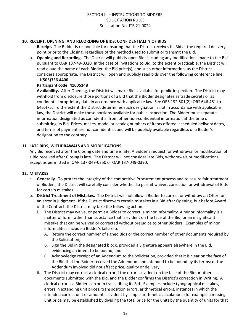# **10. RECEIPT, OPENING, AND RECORDING OF BIDS; CONFIDENTIALITY OF BIDS**

- a. **Receipt.** The Bidder is responsible for ensuring that the District receives its Bid at the required delivery point prior to the Closing, regardless of the method used to submit or transmit the Bid.
- b. **Opening and Recording.** The District will publicly open Bids including any modifications made to the Bid pursuant to OAR 137-49-0320. In the case of Invitations to Bid, to the extent practicable, the District will read aloud the name of each Bidder, the Bid price(s), and such other information, as the District considers appropriate. The District will open and publicly read bids over the following conference line: **+1(503)356.4400**

#### **Participant code: 41605148**

c. **Availability.** After Opening, the District will make Bids available for public inspection. The District may withhold from disclosure those portions of a Bid that the Bidder designates as trade secrets or as confidential proprietary data in accordance with applicable law. See ORS 192.501(2); ORS 646.461 to 646.475. To the extent the District determines such designation is not in accordance with applicable law, the District will make those portions available for public inspection. The Bidder must separate information designated as confidential from other non-confidential information at the time of submitting its Bid. Prices, makes, model or catalog numbers of items offered, scheduled delivery dates, and terms of payment are not confidential, and will be publicly available regardless of a Bidder's designation to the contrary.

# **11. LATE BIDS, WITHDRAWALS AND MODIFICATIONS**

Any Bid received after the Closing date and time is late. A Bidder's request for withdrawal or modification of a Bid received after Closing is late. The District will not consider late Bids, withdrawals or modifications except as permitted in OAR 137-049-0350 or OAR 137-049-0390.

#### **12. MISTAKES**

- a. **Generally.** To protect the integrity of the competitive Procurement process and to assure fair treatment of Bidders, the District will carefully consider whether to permit waiver, correction or withdrawal of Bids for certain mistakes.
- b. **District Treatment of Mistakes.** The District will not allow a Bidder to correct or withdraw an Offer for an error in judgment. If the District discovers certain mistakes in a Bid after Opening, but before Award of the Contract, the District may take the following action:
	- i. The District may waive, or permit a Bidder to correct, a minor informality. A minor informality is a matter of form rather than substance that is evident on the face of the Bid, or an insignificant mistake that can be waived or corrected without prejudice to other Bidders. Examples of minor informalities include a Bidder's failure to:
		- A. Return the correct number of signed Bids or the correct number of other documents required by the Solicitation;
		- B. Sign the Bid in the designated block, provided a Signature appears elsewhere in the Bid, evidencing an intent to be bound; and
		- C. Acknowledge receipt of an Addendum to the Solicitation, provided that it is clear on the face of the Bid that the Bidder received the Addendum and intended to be bound by its terms; or the Addendum involved did not affect price, quality or delivery.
	- ii. The District may correct a clerical error if the error is evident on the face of the Bid or other documents submitted with the Bid, and the Bidder confirms the District's correction in Writing. A clerical error is a Bidder's error in transcribing its Bid. Examples include typographical mistakes, errors in extending unit prices, transposition errors, arithmetical errors, instances in which the intended correct unit or amount is evident by simple arithmetic calculations (for example a missing unit price may be established by dividing the total price for the units by the quantity of units for that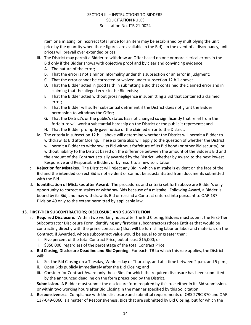item or a missing, or incorrect total price for an item may be established by multiplying the unit price by the quantity when those figures are available in the Bid). In the event of a discrepancy, unit prices will prevail over extended prices.

- iii. The District may permit a Bidder to withdraw an Offer based on one or more clerical errors in the Bid only if the Bidder shows with objective proof and by clear and convincing evidence:
	- A. The nature of the error;
	- B. That the error is not a minor informality under this subsection or an error in judgment;
	- C. That the error cannot be corrected or waived under subsection 12.b.ii above;
	- D. That the Bidder acted in good faith in submitting a Bid that contained the claimed error and in claiming that the alleged error in the Bid exists;
	- E. That the Bidder acted without gross negligence in submitting a Bid that contained a claimed error;
	- F. That the Bidder will suffer substantial detriment if the District does not grant the Bidder permission to withdraw the Offer;
	- G. That the District's or the public's status has not changed so significantly that relief from the forfeiture will work a substantial hardship on the District or the public it represents; and
	- H. That the Bidder promptly gave notice of the claimed error to the District.
- iv. The criteria in subsection 12.b.iii above will determine whether the District will permit a Bidder to withdraw its Bid after Closing. These criteria also will apply to the question of whether the District will permit a Bidder to withdraw its Bid without forfeiture of its Bid bond (or other Bid security), or without liability to the District based on the difference between the amount of the Bidder's Bid and the amount of the Contract actually awarded by the District, whether by Award to the next lowest Responsive and Responsible Bidder, or by resort to a new solicitation.
- c. **Rejection for Mistakes.** The District will reject any Bid in which a mistake is evident on the face of the Bid and the intended correct Bid is not evident or cannot be substantiated from documents submitted with the Bid.
- d. **Identification of Mistakes after Award.** The procedures and criteria set forth above are Bidder's only opportunity to correct mistakes or withdraw Bids because of a mistake. Following Award, a Bidder is bound by its Bid, and may withdraw its Bid or rescind a Contract entered into pursuant to OAR 137 Division 49 only to the extent permitted by applicable law.

#### **13. FIRST-TIER SUBCONTRACTORS; DISCLOSURE AND SUBSTITUTION**

- a. **Required Disclosure.** Within two working hours after the Bid Closing, Bidders must submit the First-Tier Subcontractor Disclosure Form identifying any first-tier subcontractors (those Entities that would be contracting directly with the prime contractor) that will be furnishing labor or labor and materials on the Contract, if Awarded, whose subcontract value would be equal to or greater than:
	- i. Five percent of the total Contract Price, but at least \$15,000; or
	- ii. \$350,000, regardless of the percentage of the total Contract Price.
- b. **Bid Closing, Disclosure Deadline and Bid Opening.** For each ITB to which this rule applies, the District will:
	- i. Set the Bid Closing on a Tuesday, Wednesday or Thursday, and at a time between 2 p.m. and 5 p.m.;
	- ii. Open Bids publicly immediately after the Bid Closing; and
	- iii. Consider for Contract Award only those Bids for which the required disclosure has been submitted by the announced deadline on the form prescribed by the District.
- c. **Submission.** A Bidder must submit the disclosure form required by this rule either in its Bid submission, or within two working hours after Bid Closing in the manner specified by this Solicitation.
- d. **Responsiveness.** Compliance with the disclosure and submittal requirements of ORS 279C.370 and OAR 137-049-0360 is a matter of Responsiveness. Bids that are submitted by Bid Closing, but for which the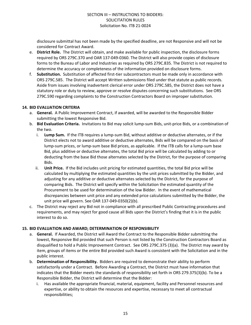disclosure submittal has not been made by the specified deadline, are not Responsive and will not be considered for Contract Award.

- e. **District Role.** The District will obtain, and make available for public inspection, the disclosure forms required by ORS 279C.370 and OAR 137-049-0360. The District will also provide copies of disclosure forms to the Bureau of Labor and Industries as required by ORS 279C.835. The District is not required to determine the accuracy or completeness of the information provided on disclosure forms.
- f. **Substitution.** Substitution of affected first-tier subcontractors must be made only in accordance with ORS 279C.585. The District will accept Written submissions filed under that statute as public records. Aside from issues involving inadvertent clerical error under ORS 279C.585, the District does not have a statutory role or duty to review, approve or resolve disputes concerning such substitutions. See ORS 279C.590 regarding complaints to the Construction Contractors Board on improper substitution.

#### **14. BID EVALUATION CRITERIA**

- a. **General.** A Public Improvement Contract, if awarded, will be awarded to the Responsible Bidder submitting the lowest Responsive Bid.
- b. **Bid Evaluation Criteria.** Invitations to Bid may solicit lump-sum Bids, unit-price Bids, or a combination of the two.
	- i. **Lump Sum.** If the ITB requires a lump-sum Bid, without additive or deductive alternates, or if the District elects not to award additive or deductive alternates, Bids will be compared on the basis of lump-sum prices, or lump-sum base Bid prices, as applicable. If the ITB calls for a lump-sum base Bid, plus additive or deductive alternates, the total Bid price will be calculated by adding to or deducting from the base Bid those alternates selected by the District, for the purpose of comparing Bids.
	- ii. **Unit Price.** If the Bid includes unit pricing for estimated quantities, the total Bid price will be calculated by multiplying the estimated quantities by the unit prices submitted by the Bidder, and adjusting for any additive or deductive alternates selected by the District, for the purpose of comparing Bids. The District will specify within the Solicitation the estimated quantity of the Procurement to be used for determination of the low Bidder. In the event of mathematical discrepancies between unit price and any extended price calculations submitted by the Bidder, the unit price will govern. See OAR 137-049-0350(2)(b).
- c. The District may reject any Bid not in compliance with all prescribed Public Contracting procedures and requirements, and may reject for good cause all Bids upon the District's finding that it is in the public interest to do so.

#### **15. BID EVALUATION AND AWARD; DETERMINATION OF RESPONSIBILITY**

- a. **General.** If Awarded, the District will Award the Contract to the Responsible Bidder submitting the lowest, Responsive Bid provided that such Person is not listed by the Construction Contractors Board as disqualified to hold a Public Improvement Contract. See ORS 279C.375 (3)(a). The District may award by item, groups of items or the entire Bid provided such Award is consistent with the Solicitation and in the public interest.
- b. **Determination of Responsibility.** Bidders are required to demonstrate their ability to perform satisfactorily under a Contract. Before Awarding a Contract, the District must have information that indicates that the Bidder meets the standards of responsibility set forth in ORS 279.375(3)(b). To be a Responsible Bidder, the District will determine that the Bidder:
	- i. Has available the appropriate financial, material, equipment, facility and Personnel resources and expertise, or ability to obtain the resources and expertise, necessary to meet all contractual responsibilities;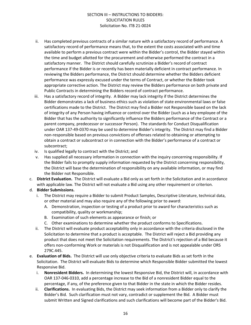- ii. Has completed previous contracts of a similar nature with a satisfactory record of performance. A satisfactory record of performance means that, to the extent the costs associated with and time available to perform a previous contract were within the Bidder's control, the Bidder stayed within the time and budget allotted for the procurement and otherwise performed the contract in a satisfactory manner. The District should carefully scrutinize a Bidder's record of contract performance if the Bidder is or recently has been materially deficient in contract performance. In reviewing the Bidders performance, the District should determine whether the Bidders deficient performance was expressly excused under the terms of Contract, or whether the Bidder took appropriate corrective action. The District may review the Bidders performance on both private and Public Contracts in determining the Bidders record of contract performance.
- iii. Has a satisfactory record of integrity. A Bidder may lack integrity if the District determines the Bidder demonstrates a lack of business ethics such as violation of state environmental laws or false certifications made to the District. The District may find a Bidder not Responsible based on the lack of integrity of any Person having influence or control over the Bidder (such as a key employee of the Bidder that has the authority to significantly influence the Bidders performance of the Contract or a parent company, predecessor or successor Person). The standards for Conduct Disqualification under OAR 137-49-0370 may be used to determine Bidder's integrity. The District may find a Bidder non-responsible based on previous convictions of offenses related to obtaining or attempting to obtain a contract or subcontract or in connection with the Bidder's performance of a contract or subcontract;
- iv. Is qualified legally to contract with the District; and
- v. Has supplied all necessary information in connection with the inquiry concerning responsibility. If the Bidder fails to promptly supply information requested by the District concerning responsibility, the District will base the determination of responsibility on any available information, or may find the Bidder not Responsible.
- c. **District Evaluation.** The District will evaluate a Bid only as set forth in the Solicitation and in accordance with applicable law. The District will not evaluate a Bid using any other requirement or criterion.

#### d. **Bidder Submissions.**

- i. The District may require a Bidder to submit Product Samples, Descriptive Literature, technical data, or other material and may also require any of the following prior to award:
	- A. Demonstration, inspection or testing of a product prior to award for characteristics such as compatibility, quality or workmanship;
	- B. Examination of such elements as appearance or finish; or
	- C. Other examinations to determine whether the product conforms to Specifications.
- ii. The District will evaluate product acceptability only in accordance with the criteria disclosed in the Solicitation to determine that a product is acceptable. The District will reject a Bid providing any product that does not meet the Solicitation requirements. The District's rejection of a Bid because it offers non-conforming Work or materials is not Disqualification and is not appealable under ORS 279C.445.
- e. **Evaluation of Bids.** The District will use only objective criteria to evaluate Bids as set forth in the Solicitation. The District will evaluate Bids to determine which Responsible Bidder submitted the lowest Responsive Bid.
	- i. **Nonresident Bidders.** In determining the lowest Responsive Bid, the District will, in accordance with OAR 137-046-0310, add a percentage increase to the Bid of a nonresident Bidder equal to the percentage, if any, of the preference given to that Bidder in the state in which the Bidder resides.
	- ii. **Clarifications.** In evaluating Bids, the District may seek information from a Bidder only to clarify the Bidder's Bid. Such clarification must not vary, contradict or supplement the Bid. A Bidder must submit Written and Signed clarifications and such clarifications will become part of the Bidder's Bid.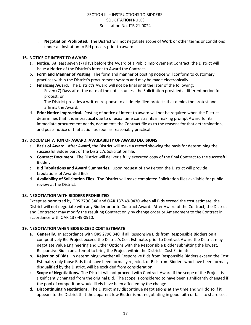iii. **Negotiation Prohibited.** The District will not negotiate scope of Work or other terms or conditions under an Invitation to Bid process prior to award.

# **16. NOTICE OF INTENT TO AWARD**

- a. **Notice.** At least seven (7) days before the Award of a Public Improvement Contract, the District will issue a Notice of the District's intent to Award the Contract.
- b. **Form and Manner of Posting.** The form and manner of posting notice will conform to customary practices within the District's procurement system and may be made electronically.
- c. **Finalizing Award.** The District's Award will not be final until the later of the following:
	- Seven (7) Days after the date of the notice, unless the Solicitation provided a different period for protest; or
	- ii. The District provides a written response to all timely-filed protests that denies the protest and affirms the Award.
- d. **Prior Notice Impractical.** Posting of notice of intent to award will not be required when the District determines that it is impractical due to unusual time constraints in making prompt Award for its immediate procurement needs, documents the Contract file as to the reasons for that determination, and posts notice of that action as soon as reasonably practical.

# **17. DOCUMENTATION OF AWARD; AVAILABILITY OF AWARD DECISIONS**

- a. **Basis of Award.** After Award, the District will make a record showing the basis for determining the successful Bidder part of the District's Solicitation file.
- b. **Contract Document.** The District will deliver a fully executed copy of the final Contract to the successful Bidder.
- c. **Bid Tabulations and Award Summaries.** Upon request of any Person the District will provide tabulations of Awarded Bids.
- d. **Availability of Solicitation Files.** The District will make completed Solicitation files available for public review at the District.

# **18. NEGOTIATION WITH BIDDERS PROHIBITED**

Except as permitted by ORS 279C.340 and OAR 137-49-0430 when all Bids exceed the cost estimate, the District will not negotiate with any Bidder prior to Contract Award. After Award of the Contract, the District and Contractor may modify the resulting Contract only by change order or Amendment to the Contract in accordance with OAR 137-49-0910.

#### **19. NEGOTIATION WHEN BIDS EXCEED COST ESTIMATE**

- **a. Generally.** In accordance with ORS 279C.340, if all Responsive Bids from Responsible Bidders on a competitively Bid Project exceed the District's Cost Estimate, prior to Contract Award the District may negotiate Value Engineering and Other Options with the Responsible Bidder submitting the lowest, Responsive Bid in an attempt to bring the Project within the District's Cost Estimate.
- **b. Rejection of Bids.** In determining whether all Responsive Bids from Responsible Bidders exceed the Cost Estimate, only those Bids that have been formally rejected, or Bids from Bidders who have been formally disqualified by the District, will be excluded from consideration.
- **c. Scope of Negotiations.** The District will not proceed with Contract Award if the scope of the Project is significantly changed from the original Bid. The scope is considered to have been significantly changed if the pool of competition would likely have been affected by the change.
- **d. Discontinuing Negotiations.** The District may discontinue negotiations at any time and will do so if it appears to the District that the apparent low Bidder is not negotiating in good faith or fails to share cost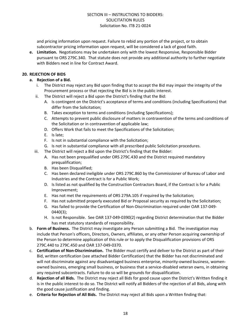and pricing information upon request. Failure to rebid any portion of the project, or to obtain subcontractor pricing information upon request, will be considered a lack of good faith.

**e. Limitation.** Negotiations may be undertaken only with the lowest Responsive, Responsible Bidder pursuant to ORS 279C.340. That statute does not provide any additional authority to further negotiate with Bidders next in line for Contract Award.

# **20. REJECTION OF BIDS**

- **a. Rejection of a Bid.**
	- i. The District may reject any Bid upon finding that to accept the Bid may impair the integrity of the Procurement process or that rejecting the Bid is in the public interest.
	- ii. The District will reject a Bid upon the District's finding that the Bid:
		- A. Is contingent on the District's acceptance of terms and conditions (including Specifications) that differ from the Solicitation;
		- B. Takes exception to terms and conditions (including Specifications);
		- C. Attempts to prevent public disclosure of matters in contravention of the terms and conditions of the Solicitation or in contravention of applicable law;
		- D. Offers Work that fails to meet the Specifications of the Solicitation;
		- E. Is late;
		- F. Is not in substantial compliance with the Solicitation;
		- G. Is not in substantial compliance with all prescribed public Solicitation procedures.
	- iii. The District will reject a Bid upon the District's finding that the Bidder:
		- A. Has not been prequalified under ORS 279C.430 and the District required mandatory prequalification;
		- B. Has been Disqualified;
		- C. Has been declared ineligible under ORS 279C.860 by the Commissioner of Bureau of Labor and Industries and the Contract is for a Public Work;
		- D. Is listed as not qualified by the Construction Contractors Board, if the Contract is for a Public Improvement;
		- E. Has not met the requirements of ORS 279A.105 if required by the Solicitation;
		- F. Has not submitted properly executed Bid or Proposal security as required by the Solicitation;
		- G. Has failed to provide the Certification of Non-Discrimination required under OAR 137-049- 0440(3);
		- H. Is not Responsible. See OAR 137-049-0390(2) regarding District determination that the Bidder has met statutory standards of responsibility.
- b. **Form of Business.** The District may investigate any Person submitting a Bid. The investigation may include that Person's officers, Directors, Owners, affiliates, or any other Person acquiring ownership of the Person to determine application of this rule or to apply the Disqualification provisions of ORS 279C.440 to 279C.450 and OAR 137-049-0370.
- c. **Certification of Non-Discrimination.** The Bidder must certify and deliver to the District as part of their Bid, written certification (see attached Bidder Certification) that the Bidder has not discriminated and will not discriminate against any disadvantaged business enterprise, minority-owned business, womenowned business, emerging small business, or business that a service-disabled veteran owns, in obtaining any required subcontracts. Failure to do so will be grounds for disqualification.
- d. **Rejection of all Bids.** The District may reject all Bids for good cause upon the District's Written finding it is in the public interest to do so. The District will notify all Bidders of the rejection of all Bids, along with the good cause justification and finding.
- e. **Criteria for Rejection of All Bids.** The District may reject all Bids upon a Written finding that: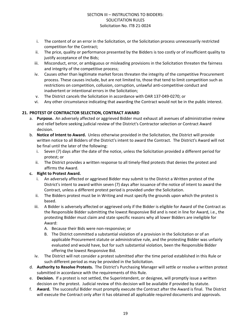- i. The content of or an error in the Solicitation, or the Solicitation process unnecessarily restricted competition for the Contract;
- ii. The price, quality or performance presented by the Bidders is too costly or of insufficient quality to justify acceptance of the Bids;
- iii. Misconduct, error, or ambiguous or misleading provisions in the Solicitation threaten the fairness and integrity of the competitive process;
- iv. Causes other than legitimate market forces threaten the integrity of the competitive Procurement process. These causes include, but are not limited to, those that tend to limit competition such as restrictions on competition, collusion, corruption, unlawful anti-competitive conduct and inadvertent or intentional errors in the Solicitation;
- v. The District cancels the Solicitation in accordance with OAR 137-049-0270; or
- vi. Any other circumstance indicating that awarding the Contract would not be in the public interest.

# **21. PROTEST OF CONTRACTOR SELECTION, CONTRACT AWARD**

- a. **Purpose.** An adversely affected or aggrieved Bidder must exhaust all avenues of administrative review and relief before seeking judicial review of the District's Contractor selection or Contract Award decision.
- b. **Notice of Intent to Award.** Unless otherwise provided in the Solicitation, the District will provide written notice to all Bidders of the District's intent to award the Contract. The District's Award will not be final until the later of the following:
	- i. Seven (7) days after the date of the notice, unless the Solicitation provided a different period for protest; or
	- ii. The District provides a written response to all timely-filed protests that denies the protest and affirms the Award.

# **c. Right to Protest Award.**

- i. An adversely affected or aggrieved Bidder may submit to the District a Written protest of the District's intent to award within seven (7) days after issuance of the notice of intent to award the Contract, unless a different protest period is provided under the Solicitation.
- ii. The Bidders protest must be in Writing and must specify the grounds upon which the protest is based.
- iii. A Bidder is adversely affected or aggrieved only if the Bidder is eligible for Award of the Contract as the Responsible Bidder submitting the lowest Responsive Bid and is next in line for Award, i.e., the protesting Bidder must claim and state specific reasons why all lower Bidders are ineligible for Award:
	- A. Because their Bids were non-responsive; or
	- B. The District committed a substantial violation of a provision in the Solicitation or of an applicable Procurement statute or administrative rule, and the protesting Bidder was unfairly evaluated and would have, but for such substantial violation, been the Responsible Bidder offering the lowest Responsive Bid.
- iv. The District will not consider a protest submitted after the time period established in this Rule or such different period as may be provided in the Solicitation.
- d. **Authority to Resolve Protests.** The District's Purchasing Manager will settle or resolve a written protest submitted in accordance with the requirements of this Rule.
- e. **Decision.** If a protest is not settled, the Superintendent, or designee, will promptly issue a written decision on the protest. Judicial review of this decision will be available if provided by statute.
- f. **Award.** The successful Bidder must promptly execute the Contract after the Award is final. The District will execute the Contract only after it has obtained all applicable required documents and approvals.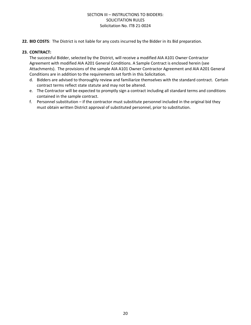**22. BID COSTS**: The District is not liable for any costs incurred by the Bidder in its Bid preparation.

#### **23. CONTRACT:**

The successful Bidder, selected by the District, will receive a modified AIA A101 Owner Contractor Agreement with modified AIA A201 General Conditions. A Sample Contract is enclosed herein (see Attachments). The provisions of the sample AIA A101 Owner Contractor Agreement and AIA A201 General Conditions are in addition to the requirements set forth in this Solicitation.

- d. Bidders are advised to thoroughly review and familiarize themselves with the standard contract. Certain contract terms reflect state statute and may not be altered.
- e. The Contractor will be expected to promptly sign a contract including all standard terms and conditions contained in the sample contract.
- f. Personnel substitution if the contractor must substitute personnel included in the original bid they must obtain written District approval of substituted personnel, prior to substitution.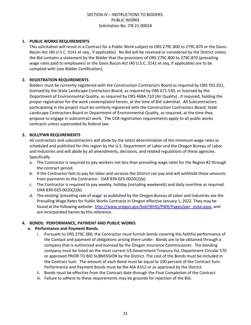### **1. PUBLIC WORKS REQUIREMENTS**

This solicitation will result in a Contract for a Public Work subject to ORS 279C.800 to 279C.870 or the Davis-Bacon Act (40 U.S.C. 3141 et seq., if applicable). No Bid will be received or considered by the District unless the Bid contains a statement by the Bidder that the provisions of ORS 279C.800 to 279C.870 (prevailing wage rates paid to employees) or the Davis Bacon Act (40 U.S.C. 3141 et seq, if applicable) are to be complied with (see Bidder Certification).

#### **2. REGISTRATION REQUIREMENTS**

Bidders must be currently registered with the Construction Contractors Board as required by ORS 701.021, licensed by the State Landscape Contractors Board, as required by ORS 671.530, or licensed by the Department of Environmental Quality, as required by ORS 468A.710 (Air Quality) , if required, holding the proper registration for the work contemplated herein, at the time of Bid submittal. All Subcontractors participating in the project must be similarly registered with the Construction Contractors Board, State Landscape Contractors Board or Department of Environmental Quality, as required, at the time they propose to engage in subcontract work. The CCB registration requirements apply to all public works contracts unless superseded by federal law.

# **3. BOLI/PWR REQUIREMENTS**

All contractors and subcontractors will abide by the latest determination of the minimum wage rates as scheduled and published for this region by the U.S. Department of Labor and the Oregon Bureau of Labor and Industries and will abide by all amendments, decisions, and related regulations of these agencies. Specifically:

- a. The Contractor is required to pay workers not less than prevailing wage rates for the Region #2 through the contract period.
- b. If the Contractor fails to pay for labor and services the District can pay and will withhold these amounts from payments to the Contractor. OAR 839-025-0020(2)(a).
- c. The Contractor is required to pay weekly, holiday (including weekends) and daily overtime as required. OAR 839-025-0020(2)(b).
- d. The existing 'prevailing rate of wage' as published by the Oregon Bureau of Labor and Industries are the Prevailing Wage Rates for Public Works Contracts in Oregon effective January 1, 2022. They may be found at the following website: [http://www.oregon.gov/boli/WHD/PWR/Pages/pwr\\_state.aspx,](http://www.oregon.gov/boli/WHD/PWR/Pages/pwr_state.aspx) and are incorporated herein by this reference.

#### **4. BONDS: PERFORMANCE, PAYMENT AND PUBLIC WORKS**

#### **a. Performance and Payment Bonds.**

- i. Pursuant to ORS 279C.380, the Contractor must furnish bonds covering the faithful performance of the Contact and payment of obligations arising there under. Bonds are to be obtained through a company that is authorized and licensed by the Oregon Insurance Commissioner. The bonding company must be listed on the most current US Government Treasury list, Department Circular 570 or approved PRIOR TO BID SUBMISSION by the District. The cost of the Bonds must be included in the Contract Sum. The amount of each Bond must be equal to 100 percent of the Contract Sum. Performance and Payment Bonds must be the AIA A312 or as approved by the District.
- ii. Bonds must be effective from the Contract date through the Final Completion of the Contract.
- iii. Failure to adhere to these requirements may be grounds for rejection of the Bid.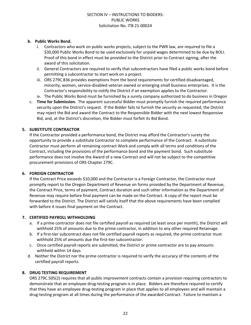### **b. Public Works Bond.**

- i. Contractors who work on public works projects, subject to the PWR law, are required to file a \$30,000 Public Works Bond to be used exclusively for unpaid wages determined to be due by BOLI. Proof of this bond in effect must be provided to the District prior to Contract signing, after the award of this solicitation.
- ii. General Contractors are required to verify that subcontractors have filed a public works bond before permitting a subcontractor to start work on a project.
- iii. ORS 279C.836 provides exemptions from the bond requirements for certified disadvantaged, minority, women, service-disabled veteran owned or emerging small business enterprises. It is the Contractor's responsibility to notify the District if an exemption applies to the Contractor.
- iv. The Public Works Bond must be furnished by a surety company authorized to do business in Oregon
- c. **Time for Submission.** The apparent successful Bidder must promptly furnish the required performance security upon the District's request. If the Bidder fails to furnish the security as requested, the District may reject the Bid and award the Contract to the Responsible Bidder with the next lowest Responsive Bid, and, at the District's discretion, the Bidder must forfeit its Bid Bond.

# **5. SUBSTITUTE CONTRACTOR**

If the Contractor provided a performance bond, the District may afford the Contractor's surety the opportunity to provide a substitute Contractor to complete performance of the Contract. A substitute Contractor must perform all remaining contract Work and comply with all terms and conditions of the Contract, including the provisions of the performance bond and the payment bond. Such substitute performance does not involve the Award of a new Contract and will not be subject to the competitive procurement provisions of ORS Chapter 279C.

#### **6. FOREIGN CONTRACTOR**

If the Contract Price exceeds \$10,000 and the Contractor is a Foreign Contractor, the Contractor must promptly report to the Oregon Department of Revenue on forms provided by the Department of Revenue, the Contract Price, terms of payment, Contract duration and such other information as the Department of Revenue may require before final payment can be made on the Contract. A copy of the report must be forwarded to the District. The District will satisfy itself that the above requirements have been complied with before it issues final payment on the Contract.

#### **7. CERTIFIED PAYROLL WITHHOLDING**

- a. If a prime contractor does not file certified payroll as required (at least once per month), the District will withhold 25% of amounts due to the prime contractor, in addition to any other required Retainage.
- b. If a first-tier subcontract does not file certified payroll reports as required, the prime contractor must withhold 25% of amounts due the first-tier subcontractor.
- c. Once certified payroll reports are submitted, the District or prime contractor are to pay amounts withheld within 14 days.
- d. Neither the District nor the prime contractor is required to verify the accuracy of the contents of the certified payroll reports.

# **8. DRUG TESTING REQUIREMENT**

ORS 279C.505(2) requires that all public improvement contracts contain a provision requiring contractors to demonstrate that an employee drug-testing program is in place. Bidders are therefore required to certify that they have an employee drug-testing program in place that applies to all employees and will maintain a drug-testing program at all times during the performance of the awarded Contract. Failure to maintain a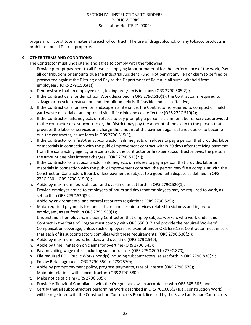program will constitute a material breach of contract. The use of drugs, alcohol, or any tobacco products is prohibited on all District property.

# **9. OTHER TERMS AND CONDITIONS:**

The Contractor must understand and agree to comply with the following:

- a. Provide prompt payment to all Persons supplying labor or material for the performance of the work; Pay all contributions or amounts due the Industrial Accident Fund; Not permit any lien or claim to be filed or prosecuted against the District; and Pay to the Department of Revenue all sums withheld from employees. (ORS 279C.505(1));
- b. Demonstrate that an employee drug testing program is in place. (ORS 279C.505(2));
- c. If the Contract calls for demolition Work described in ORS 279C.510(1), the Contractor is required to salvage or recycle construction and demolition debris, if feasible and cost-effective;
- d. If the Contract calls for lawn or landscape maintenance, the Contractor is required to compost or mulch yard waste material at an approved site, if feasible and cost effective (ORS 279C.510(2);
- e. If the Contractor fails, neglects or refuses to pay promptly a person's claim for labor or services provided to the contractor or a subcontractor, the District may pay the amount of the claim to the person that provides the labor or services and charge the amount of the payment against funds due or to become due the contractor, as set forth in ORS 279C.515(1);
- f. If the Contractor or a first-tier subcontractor fails, neglects or refuses to pay a person that provides labor or materials in connection with the public improvement contract within 30 days after receiving payment from the contracting agency or a contractor, the contractor or first-tier subcontractor owes the person the amount due plus interest charges. (ORS 279C.515(2));
- g. If the Contractor or a subcontractor fails, neglects or refuses to pay a person that provides labor or materials in connection with the public improvement contract, the person may file a complaint with the Construction Contractors Board, unless payment is subject to a good faith dispute as defined in ORS 279C.580. (ORS 279C.515(3));
- h. Abide by maximum hours of labor and overtime, as set forth in ORS 279C.520(1);
- i. Provide employer notice to employees of hours and days that employees may be required to work, as set forth in ORS 279C.520(2);
- j. Abide by environmental and natural resources regulations (ORS 279C.525);
- k. Make required payments for medical care and certain services related to sickness and injury to employees, as set forth in ORS 279C.530(1);
- l. Understand all employers, including Contractor, that employ subject workers who work under this Contract in the State of Oregon must comply with ORS 656.017 and provide the required Workers' Compensation coverage, unless such employers are exempt under ORS 656.126. Contractor must ensure that each of its subcontractors complies with these requirements. (ORS 279C.530(2));
- m. Abide by maximum hours, holidays and overtime (ORS 279C.540);
- n. Abide by time limitation on claims for overtime (ORS 279C.545);
- o. Pay prevailing wage rates, including subcontractors (ORS 279C.800 to 279C.870);
- p. File required BOLI Public Works bond(s) including subcontractors, as set forth in ORS 279C.830(2);
- q. Follow Retainage rules (ORS 279C.550 to 279C.570);
- r. Abide by prompt payment policy, progress payments, rate of interest (ORS 279C.570);
- s. Maintain relations with subcontractors (ORS 279C.580);
- t. Make notice of claim (ORS 279C.605);
- u. Provide Affidavit of Compliance with the Oregon tax laws in accordance with ORS 305.385; and
- v. Certify that all subcontractors performing Work described in ORS 701.005(2) (i.e., construction Work) will be registered with the Construction Contractors Board, licensed by the State Landscape Contractors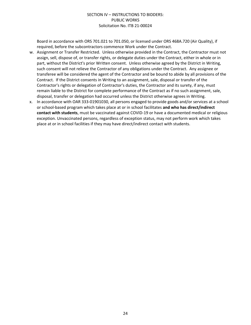Board in accordance with ORS 701.021 to 701.050, or licensed under ORS 468A.720 (Air Quality), if required, before the subcontractors commence Work under the Contract.

- w. Assignment or Transfer Restricted. Unless otherwise provided in the Contract, the Contractor must not assign, sell, dispose of, or transfer rights, or delegate duties under the Contract, either in whole or in part, without the District's prior Written consent. Unless otherwise agreed by the District in Writing, such consent will not relieve the Contractor of any obligations under the Contract. Any assignee or transferee will be considered the agent of the Contractor and be bound to abide by all provisions of the Contract. If the District consents in Writing to an assignment, sale, disposal or transfer of the Contractor's rights or delegation of Contractor's duties, the Contractor and its surety, if any, must remain liable to the District for complete performance of the Contract as if no such assignment, sale, disposal, transfer or delegation had occurred unless the District otherwise agrees in Writing.
- x. In accordance with OAR 333-01901030, all persons engaged to provide goods and/or services at a school or school-based program which takes place at or in school facilitates **and who has direct/indirect contact with students**, must be vaccinated against COVID-19 or have a documented medical or religious exception. Unvaccinated persons, regardless of exception status, may not perform work which takes place at or in school facilities if they may have direct/indirect contact with students.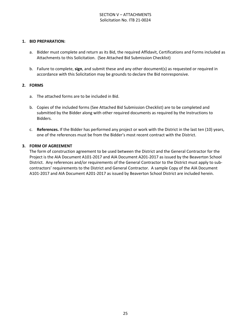# SECTION V – ATTACHMENTS Solicitation No. ITB 21-0024

#### **1. BID PREPARATION:**

- a. Bidder must complete and return as its Bid, the required Affidavit, Certifications and Forms included as Attachments to this Solicitation. (See Attached Bid Submission Checklist)
- b. Failure to complete, **sign**, and submit these and any other document(s) as requested or required in accordance with this Solicitation may be grounds to declare the Bid nonresponsive.

#### **2. FORMS**

- a. The attached forms are to be included in Bid.
- b. Copies of the included forms (See Attached Bid Submission Checklist) are to be completed and submitted by the Bidder along with other required documents as required by the Instructions to Bidders.
- c. **References.** If the Bidder has performed any project or work with the District in the last ten (10) years, one of the references must be from the Bidder's most recent contract with the District.

#### **3. FORM OF AGREEMENT**

The form of construction agreement to be used between the District and the General Contractor for the Project is the AIA Document A101-2017 and AIA Document A201-2017 as issued by the Beaverton School District. Any references and/or requirements of the General Contractor to the District must apply to subcontractors' requirements to the District and General Contractor. A sample Copy of the AIA Document A101-2017 and AIA Document A201-2017 as issued by Beaverton School District are included herein.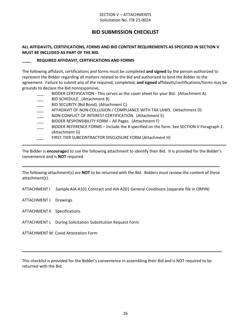# SECTION V – ATTACHMENTS Solicitation No. ITB 21-0024

# **BID SUBMISSION CHECKLIST**

# **ALL AFFIDAVITS, CERTIFICATIONS, FORMS AND BID CONTENT REQUIREMENTS AS SPECIFIED IN SECTION V MUST BE INCLUDED AS PART OF THE BID.**

# **\_\_\_\_ REQUIRED AFFIDAVIT, CERTIFICATIONS AND FORMS**

The following affidavit, certifications and forms must be completed **and signed** by the person authorized to represent the Bidder regarding all matters related to the Bid and authorized to bind the Bidder to the agreement. Failure to submit any of the required, completed, **and signed** affidavits/certifications/forms may be grounds to declare the Bid nonresponsive.

- BIDDER CERTIFICATION This serves as the cover sheet for your Bid. (Attachment A)
- BID SCHEDULE. (Attachment B)
- BID SECURITY (Bid Bond). (Attachment C)
- AFFADAVIT OF NON-COLLUSION / COMPLIANCE WITH TAX LAWS. (Attachment D)
- NON-CONFLICT OF INTEREST CERTIFICATION. (Attachment E)
- BIDDER RESPONSIBILITY FORM All Pages. (Attachment F)
- BIDDER REFERENCE FORMS Include the # specified on the form. See SECTION V Paragraph 2. (Attachment G)
- FIRST-TIER SUBCONTRACTOR DISCLOSURE FORM (Attachment H)

The Bidder is **encourage**d to use the following attachment to identify their Bid. It is provided for the Bidder's convenience and is **NOT** required.

**\_\_\_\_\_\_\_\_\_\_\_\_\_\_\_\_\_\_\_\_\_\_\_\_\_\_\_\_\_\_\_\_\_\_\_\_\_\_\_\_\_\_\_\_\_\_\_\_\_\_\_\_\_\_\_\_\_\_\_\_\_\_\_\_\_\_\_\_\_\_\_\_\_\_\_\_\_\_\_\_\_\_\_\_\_\_\_\_\_\_\_**

The following attachment(s) are **NOT** to be returned with the Bid. Bidders must review the content of these attachment(s).

**\_\_\_\_\_\_\_\_\_\_\_\_\_\_\_\_\_\_\_\_\_\_\_\_\_\_\_\_\_\_\_\_\_\_\_\_\_\_\_\_\_\_\_\_\_\_\_\_\_\_\_\_\_\_\_\_\_\_\_\_\_\_\_\_\_\_\_\_\_\_\_\_\_\_\_\_\_\_\_\_\_\_\_\_\_\_\_\_**

ATTACHMENT I Sample AIA A101 Contract and AIA A201 General Conditions (separate file in ORPIN)

- ATTACHMENT J Drawings
- ATTACHMENT K Specifications
- ATTACHMENT L During Solicitation Substitution Request Form

ATTACHMENT M Covid Attestation Form

This checklist is provided for the Bidder's convenience in assembling their Bid and is NOT required to be returned with the Bid.

**\_\_\_\_\_\_\_\_\_\_\_\_\_\_\_\_\_\_\_\_\_\_\_\_\_\_\_\_\_\_\_\_\_\_\_\_\_\_\_\_\_\_\_\_\_\_\_\_\_\_\_\_\_\_\_\_\_\_\_\_\_\_\_\_\_\_\_\_\_\_\_\_\_\_\_\_\_\_\_\_\_\_\_\_\_\_\_\_\_**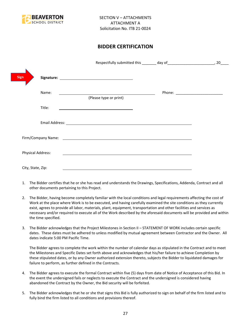

# **BIDDER CERTIFICATION**

| <b>Sign</b>       |                                                                                                                                                                                                                                |                                      |
|-------------------|--------------------------------------------------------------------------------------------------------------------------------------------------------------------------------------------------------------------------------|--------------------------------------|
| Name:             | <u> 1989 - Johann Stoff, deutscher Stoffen und der Stoffen und der Stoffen und der Stoffen und der Stoffen und der</u><br>(Please type or print)                                                                               | Phone: _____________________________ |
| Title:            |                                                                                                                                                                                                                                |                                      |
|                   |                                                                                                                                                                                                                                |                                      |
|                   | Firm/Company Name: The company of the company of the company of the company of the company of the company of the company of the company of the company of the company of the company of the company of the company of the comp |                                      |
| Physical Address: |                                                                                                                                                                                                                                |                                      |
| City, State, Zip: |                                                                                                                                                                                                                                |                                      |

- 1. The Bidder certifies that he or she has read and understands the Drawings, Specifications, Addenda, Contract and all other documents pertaining to this Project.
- 2. The Bidder, having become completely familiar with the local conditions and legal requirements affecting the cost of Work at the place where Work is to be executed, and having carefully examined the site conditions as they currently exist, agrees to provide all labor, materials, plant, equipment, transportation and other facilities and services as necessary and/or required to execute all of the Work described by the aforesaid documents will be provided and within the time specified.
- 3. The Bidder acknowledges that the Project Milestones in Section II STATEMENT OF WORK includes certain specific dates. These dates must be adhered to unless modified by mutual agreement between Contractor and the Owner. All dates indicate 5:00 PM Pacific Time.

The Bidder agrees to complete the work within the number of calendar days as stipulated in the Contract and to meet the Milestones and Specific Dates set forth above and acknowledges that his/her failure to achieve Completion by these stipulated dates, or by any Owner authorized extension thereto, subjects the Bidder to liquidated damages for failure to perform, as further defined in the Contracts.

- 4. The Bidder agrees to execute the formal Contract within five (5) days from date of Notice of Acceptance of this Bid. In the event the undersigned fails or neglects to execute the Contract and the undersigned is considered having abandoned the Contract by the Owner, the Bid security will be forfeited.
- 5. The Bidder acknowledges that he or she that signs this Bid is fully authorized to sign on behalf of the firm listed and to fully bind the firm listed to all conditions and provisions thereof.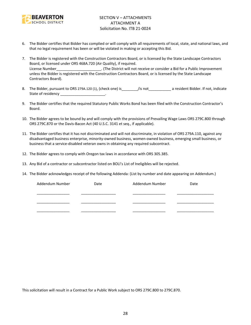

- 6. The Bidder certifies that Bidder has complied or will comply with all requirements of local, state, and national laws, and that no legal requirement has been or will be violated in making or accepting this Bid.
- 7. The Bidder is registered with the Construction Contractors Board, or is licensed by the State Landscape Contractors Board, or licensed under ORS 468A.720 (Air Quality), if required. License Number\_\_\_\_\_\_\_\_\_\_\_\_\_\_\_\_\_\_\_\_\_\_. (The District will not receive or consider a Bid for a Public Improvement unless the Bidder is registered with the Construction Contractors Board, or is licensed by the State Landscape Contractors Board).
- 8. The Bidder, pursuant to ORS 279A.120 (1), (check one) is figure is figure to a resident Bidder. If not, indicate State of residency \_\_\_\_\_\_\_\_\_\_\_\_\_\_\_\_\_\_\_\_\_\_\_\_.
- 9. The Bidder certifies that the required Statutory Public Works Bond has been filed with the Construction Contractor's Board.
- 10. The Bidder agrees to be bound by and will comply with the provisions of Prevailing Wage Laws ORS 279C.800 through ORS 279C.870 or the Davis-Bacon Act (40 U.S.C. 3141 et seq., if applicable).
- 11. The Bidder certifies that it has not discriminated and will not discriminate, in violation of ORS 279A.110, against any disadvantaged business enterprise, minority-owned business, women-owned business, emerging small business, or business that a service-disabled veteran owns in obtaining any required subcontract.
- 12. The Bidder agrees to comply with Oregon tax laws in accordance with ORS 305.385.
- 13. Any Bid of a contractor or subcontractor listed on BOLI's List of Ineligibles will be rejected.
- 14. The Bidder acknowledges receipt of the following Addenda: (List by number and date appearing on Addendum.)

| Addendum Number | Date | Addendum Number | Date |
|-----------------|------|-----------------|------|
|                 |      |                 |      |
|                 |      |                 |      |
|                 |      |                 |      |
|                 |      |                 |      |
|                 |      |                 |      |

This solicitation will result in a Contract for a Public Work subject to ORS 279C.800 to 279C.870.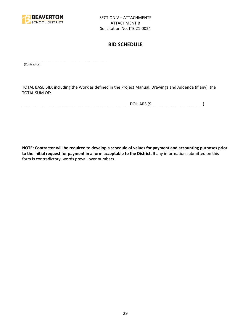

\_\_\_\_\_\_\_\_\_\_\_\_\_\_\_\_\_\_\_\_\_\_\_\_\_\_\_\_\_\_\_\_\_\_\_\_\_\_\_\_\_

# **BID SCHEDULE**

(Contractor)

TOTAL BASE BID: including the Work as defined in the Project Manual, Drawings and Addenda (if any), the TOTAL SUM OF:

\_\_\_\_\_\_\_\_\_\_\_\_\_\_\_\_\_\_\_\_\_\_\_\_\_\_\_\_\_\_\_\_\_\_\_\_\_\_\_\_\_\_\_\_\_\_\_\_DOLLARS (\$\_\_\_\_\_\_\_\_\_\_\_\_\_\_\_\_\_\_\_\_\_\_\_)

**NOTE: Contractor will be required to develop a schedule of values for payment and accounting purposes prior to the initial request for payment in a form acceptable to the District.** If any information submitted on this form is contradictory, words prevail over numbers.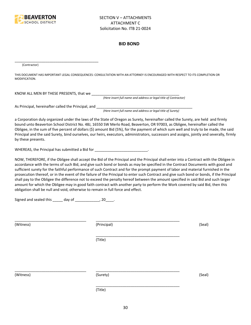

#### **BID BOND**

(Contractor)

THIS DOCUMENT HAS IMPORTANT LEGAL CONSEQUENCES: CONSULTATION WITH AN ATTORNEY IS ENCOURAGED WITH RESPECT TO ITS COMPLETION OR MODIFICATION.

KNOW ALL MEN BY THESE PRESENTS, that we \_\_\_\_\_\_\_\_\_\_\_\_\_\_\_\_\_\_\_\_\_\_\_\_\_\_\_\_\_\_\_\_\_\_\_\_\_\_\_\_\_\_\_

*(Here insert full name and address or legal title of Contractor)*

As Principal, hereinafter called the Principal, and \_\_\_\_\_\_\_\_\_\_\_\_\_\_\_\_\_\_\_\_\_\_\_\_\_\_\_\_

\_\_\_\_\_\_\_\_\_\_\_\_\_\_\_\_\_\_\_\_\_\_\_\_\_\_\_\_\_\_\_\_\_\_\_\_\_\_\_\_\_

*(Here insert full name and address or legal title of Surety)*

a Corporation duly organized under the laws of the State of Oregon as Surety, hereinafter called the Surety, are held and firmly bound unto Beaverton School District No. 48J, 16550 SW Merlo Road, Beaverton, OR 97003, as Obligee, hereinafter called the Obligee, in the sum of five percent of dollars (\$) amount Bid (5%), for the payment of which sum well and truly to be made, the said Principal and the said Surety, bind ourselves, our heirs, executors, administrators, successors and assigns, jointly and severally, firmly by these presents.

WHEREAS, the Principal has submitted a Bid for \_\_\_\_\_\_\_\_\_\_\_\_\_\_\_\_\_\_\_\_\_\_\_\_\_\_\_\_\_.

NOW, THEREFORE, if the Obligee shall accept the Bid of the Principal and the Principal shall enter into a Contract with the Obligee in accordance with the terms of such Bid, and give such bond or bonds as may be specified in the Contract Documents with good and sufficient surety for the faithful performance of such Contract and for the prompt payment of labor and material furnished in the prosecution thereof, or in the event of the failure of the Principal to enter such Contract and give such bond or bonds, if the Principal shall pay to the Obligee the difference not to exceed the penalty hereof between the amount specified in said Bid and such larger amount for which the Obligee may in good faith contract with another party to perform the Work covered by said Bid, then this obligation shall be null and void, otherwise to remain in full force and effect.

\_\_\_\_\_\_\_\_\_\_\_\_\_\_\_\_\_\_\_\_\_\_\_\_\_\_\_\_\_\_\_\_\_\_\_\_\_\_\_\_\_

\_\_\_\_\_\_\_\_\_\_\_\_\_\_\_\_\_\_\_\_\_\_\_\_\_\_\_\_\_\_\_\_\_\_\_\_\_\_\_\_\_

Signed and sealed this \_\_\_\_\_ day of \_\_\_\_\_\_\_\_\_\_\_\_, 20\_\_\_\_.

(Witness) (Principal) (Seal)

(Title)

\_\_\_\_\_\_\_\_\_\_\_\_\_\_\_\_\_\_\_\_\_\_\_\_\_\_\_\_\_\_\_\_\_\_\_ \_\_\_\_\_\_\_\_\_\_\_\_\_\_\_\_\_\_\_\_\_\_\_\_\_\_\_\_\_\_\_\_\_\_\_\_\_\_\_\_\_

(Witness) (Surety) (Seal)

\_\_\_\_\_\_\_\_\_\_\_\_\_\_\_\_\_\_\_\_\_\_\_\_\_\_\_\_\_\_\_\_\_\_\_ \_\_\_\_\_\_\_\_\_\_\_\_\_\_\_\_\_\_\_\_\_\_\_\_\_\_\_\_\_\_\_\_\_\_\_\_\_\_\_\_\_

(Title)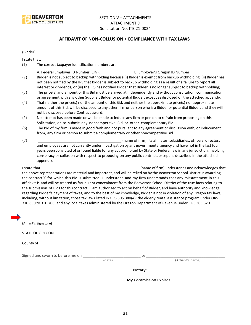

# **AFFIDAVIT OF NON-COLLUSION / COMPLIANCE WITH TAX LAWS**

(Bidder)

I state that:

(1) The correct taxpayer identification numbers are:

\_\_\_\_\_\_\_\_\_\_\_\_\_\_\_\_\_\_\_\_\_\_\_\_\_\_\_\_\_\_\_\_\_\_\_\_\_\_

- A. Federal Employer ID Number (EIN): \_\_\_\_\_\_\_\_\_\_\_\_\_\_\_\_ B. Employer's Oregon ID Number: \_\_\_\_\_\_\_\_\_\_\_\_\_\_\_\_
- (2) Bidder is not subject to backup withholding because (i) Bidder is exempt from backup withholding, (ii) Bidder has not been notified by the IRS that Bidder is subject to backup withholding as a result of a failure to report all interest or dividends, or (iii) the IRS has notified Bidder that Bidder is no longer subject to backup withholding;
- (3) The price(s) and amount of this Bid must be arrived at independently and without consultation, communication or agreement with any other Supplier, Bidder or potential Bidder, except as disclosed on the attached appendix.
- (4) That neither the price(s) nor the amount of this Bid, and neither the approximate price(s) nor approximate amount of this Bid, will be disclosed to any other firm or person who is a Bidder or potential Bidder, and they will not be disclosed before Contract award.
- (5) No attempt has been made or will be made to induce any firm or person to refrain from proposing on this Solicitation, or to submit any noncompetitive Bid or other complementary Bid.
- (6) The Bid of my firm is made in good faith and not pursuant to any agreement or discussion with, or inducement from, any firm or person to submit a complementary or other noncompetitive Bid.
- (7) \_\_\_\_\_\_\_\_\_\_\_\_\_\_\_\_\_\_\_\_\_\_\_\_\_\_\_\_\_\_\_\_\_\_\_\_\_\_\_\_\_ (name of firm), its affiliates, subsidiaries, officers, directors and employees are not currently under investigation by any governmental agency and have not in the last four years been convicted of or found liable for any act prohibited by State or Federal law in any jurisdiction, involving conspiracy or collusion with respect to proposing on any public contract, except as described in the attached appendix.

I state that **I state that**  $\blacksquare$  (name of firm) understands and acknowledges that the above representations are material and important, and will be relied on by the Beaverton School District in awarding the contract(s) for which this Bid is submitted. I understand and my firm understands that any misstatement in this affidavit is and will be treated as fraudulent concealment from the Beaverton School District of the true facts relating to the submission of Bids for this contract. I am authorized to act on behalf of Bidder, and have authority and knowledge regarding Bidder's payment of taxes, and to the best of my knowledge, Bidder is not in violation of any Oregon tax laws, including, without limitation, those tax laws listed in ORS 305.380(4); the elderly rental assistance program under ORS 310.630 to 310.706; and any local taxes administered by the Oregon Department of Revenue under ORS 305.620.

| (Affiant's Signature)                                                                                                                                                                                                          |        |                  |
|--------------------------------------------------------------------------------------------------------------------------------------------------------------------------------------------------------------------------------|--------|------------------|
| <b>STATE OF OREGON</b>                                                                                                                                                                                                         |        |                  |
|                                                                                                                                                                                                                                |        |                  |
| Signed and sworn to before me on which is a state of the by state of the by the state of the state of the state of the state of the state of the state of the state of the state of the state of the state of the state of the | (date) | (Affiant's name) |
|                                                                                                                                                                                                                                |        |                  |
|                                                                                                                                                                                                                                |        |                  |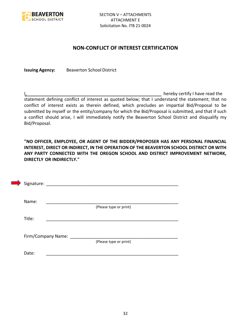

# **NON-CONFLICT OF INTEREST CERTIFICATION**

**Issuing Agency:** Beaverton School District

I, the contract of the contract of the contract of the contract of the hereby certify I have read the statement defining conflict of interest as quoted below; that I understand the statement; that no conflict of interest exists as therein defined, which precludes an impartial Bid/Proposal to be submitted by myself or the entity/company for which the Bid/Proposal is submitted, and that if such a conflict should arise, I will immediately notify the Beaverton School District and disqualify my Bid/Proposal.

**"NO OFFICER, EMPLOYEE, OR AGENT OF THE BIDDER/PROPOSER HAS ANY PERSONAL FINANCIAL INTEREST, DIRECT OR INDIRECT, IN THE OPERATION OF THE BEAVERTON SCHOOL DISTRICT OR WITH ANY PARTY CONNECTED WITH THE OREGON SCHOOL AND DISTRICT IMPROVEMENT NETWORK, DIRECTLY OR INDIRECTLY."**

| Signature: |                      |                        |  |  |
|------------|----------------------|------------------------|--|--|
| Name:      |                      |                        |  |  |
|            |                      | (Please type or print) |  |  |
| Title:     |                      |                        |  |  |
|            |                      |                        |  |  |
|            | Firm/Company Name: _ |                        |  |  |
|            |                      | (Please type or print) |  |  |
| Date:      |                      |                        |  |  |
|            |                      |                        |  |  |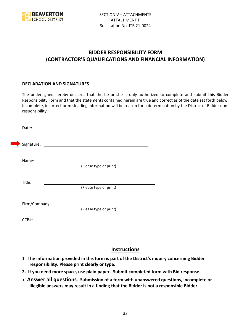

# **BIDDER RESPONSIBILITY FORM (CONTRACTOR'S QUALIFICATIONS AND FINANCIAL INFORMATION)**

# **DECLARATION AND SIGNATURES**

The undersigned hereby declares that the he or she is duly authorized to complete and submit this Bidder Responsibility Form and that the statements contained herein are true and correct as of the date set forth below. Incomplete, incorrect or misleading information will be reason for a determination by the District of Bidder nonresponsibility.

| Date:      |                      |                                                                                                                      |  |
|------------|----------------------|----------------------------------------------------------------------------------------------------------------------|--|
| Signature: |                      | <u> 1980 - Jan Stein Stein Stein Stein Stein Stein Stein Stein Stein Stein Stein Stein Stein Stein Stein Stein S</u> |  |
| Name:      |                      | (Please type or print)                                                                                               |  |
| Title:     |                      |                                                                                                                      |  |
|            |                      | (Please type or print)                                                                                               |  |
|            | Firm/Company: ______ | (Please type or print)                                                                                               |  |
| CCB#:      |                      |                                                                                                                      |  |

# **Instructions**

- **1. The information provided in this form is part of the District's inquiry concerning Bidder responsibility. Please print clearly or type.**
- **2. If you need more space, use plain paper. Submit completed form with Bid response.**
- **3. Answer all questions. Submission of a form with unanswered questions, incomplete or illegible answers may result in a finding that the Bidder is not a responsible Bidder.**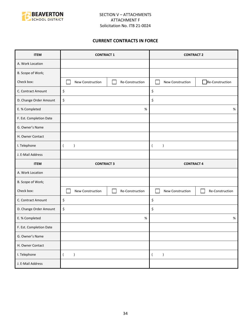

# **CURRENT CONTRACTS IN FORCE**

| <b>ITEM</b>             | <b>CONTRACT 1</b>               |                 | <b>CONTRACT 2</b>             |                 |
|-------------------------|---------------------------------|-----------------|-------------------------------|-----------------|
| A. Work Location        |                                 |                 |                               |                 |
| B. Scope of Work;       |                                 |                 |                               |                 |
| Check box:              | New Construction                | Re-Construction | New Construction              | Re-Construction |
| C. Contract Amount      | \$                              |                 | \$                            |                 |
| D. Change Order Amount  | \$                              |                 | \$                            |                 |
| E. % Completed          |                                 | $\%$            |                               | $\%$            |
| F. Est. Completion Date |                                 |                 |                               |                 |
| G. Owner's Name         |                                 |                 |                               |                 |
| H. Owner Contact        |                                 |                 |                               |                 |
| I. Telephone            | $\overline{(}$<br>$\mathcal{E}$ |                 | $\lambda$<br>$\left($         |                 |
| J. E-Mail Address       |                                 |                 |                               |                 |
|                         | <b>CONTRACT 3</b>               |                 |                               |                 |
| <b>ITEM</b>             |                                 |                 | <b>CONTRACT 4</b>             |                 |
| A. Work Location        |                                 |                 |                               |                 |
| B. Scope of Work;       |                                 |                 |                               |                 |
| Check box:              | New Construction                | Re-Construction | New Construction              | Re-Construction |
| C. Contract Amount      | \$                              |                 | \$                            |                 |
| D. Change Order Amount  | \$                              |                 | \$                            |                 |
| E. % Completed          |                                 | $\%$            |                               | $\%$            |
| F. Est. Completion Date |                                 |                 |                               |                 |
| G. Owner's Name         |                                 |                 |                               |                 |
| H. Owner Contact        |                                 |                 |                               |                 |
| I. Telephone            | $\overline{(\ }$<br>$\lambda$   |                 | $\lambda$<br>$\overline{(\ }$ |                 |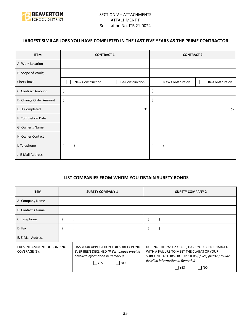

# **LARGEST SIMILAR JOBS YOU HAVE COMPLETED IN THE LAST FIVE YEARS AS THE PRIME CONTRACTOR**

| <b>ITEM</b>            | <b>CONTRACT 1</b> |                 | <b>CONTRACT 2</b> |                 |
|------------------------|-------------------|-----------------|-------------------|-----------------|
| A. Work Location       |                   |                 |                   |                 |
| B. Scope of Work;      |                   |                 |                   |                 |
| Check box:             | New Construction  | Re-Construction | New Construction  | Re-Construction |
| C. Contract Amount     | \$                |                 | \$                |                 |
| D. Change Order Amount | \$                |                 | \$                |                 |
| E. % Completed         |                   | %               |                   | %               |
| F. Completion Date     |                   |                 |                   |                 |
| G. Owner's Name        |                   |                 |                   |                 |
| H. Owner Contact       |                   |                 |                   |                 |
| I. Telephone           |                   |                 |                   |                 |
| J. E-Mail Address      |                   |                 |                   |                 |

# **LIST COMPANIES FROM WHOM YOU OBTAIN SURETY BONDS**

| <b>ITEM</b>                                 | <b>SURETY COMPANY 1</b>                                                                                                                | <b>SURETY COMPANY 2</b>                                                                                                                                                                                      |
|---------------------------------------------|----------------------------------------------------------------------------------------------------------------------------------------|--------------------------------------------------------------------------------------------------------------------------------------------------------------------------------------------------------------|
| A. Company Name                             |                                                                                                                                        |                                                                                                                                                                                                              |
| <b>B. Contact's Name</b>                    |                                                                                                                                        |                                                                                                                                                                                                              |
| C. Telephone                                |                                                                                                                                        |                                                                                                                                                                                                              |
| D. Fax                                      |                                                                                                                                        |                                                                                                                                                                                                              |
| E. E-Mail Address                           |                                                                                                                                        |                                                                                                                                                                                                              |
| PRESENT AMOUNT OF BONDING<br>COVERAGE (\$): | HAS YOUR APPLICATION FOR SURETY BOND<br>EVER BEEN DECLINED (If Yes, please provide<br>detailed information in Remarks)<br>  NO<br> YES | DURING THE PAST 2 YEARS, HAVE YOU BEEN CHARGED<br>WITH A FAILURE TO MEET THE CLAIMS OF YOUR<br>SUBCONTRACTORS OR SUPPLIERS (If Yes, please provide<br>detailed information in Remarks)<br>l YES<br><b>NO</b> |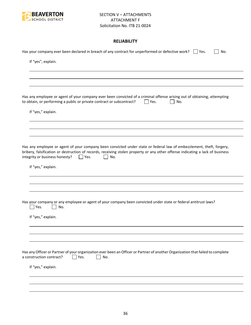

# **RELIABILITY**

| Has your company ever been declared in breach of any contract for unperformed or defective work? $\Box$ Yes.<br>No.                                                                                                                                                                                           |
|---------------------------------------------------------------------------------------------------------------------------------------------------------------------------------------------------------------------------------------------------------------------------------------------------------------|
| If "yes", explain.                                                                                                                                                                                                                                                                                            |
|                                                                                                                                                                                                                                                                                                               |
|                                                                                                                                                                                                                                                                                                               |
| Has any employee or agent of your company ever been convicted of a criminal offense arising out of obtaining, attempting<br>to obtain, or performing a public or private contract or subcontract?<br>Yes.<br>No.                                                                                              |
| If "yes," explain.                                                                                                                                                                                                                                                                                            |
|                                                                                                                                                                                                                                                                                                               |
|                                                                                                                                                                                                                                                                                                               |
| Has any employee or agent of your company been convicted under state or federal law of embezzlement, theft, forgery,<br>bribery, falsification or destruction of records, receiving stolen property or any other offense indicating a lack of business<br>integrity or business honesty?<br>$ $   Yes.<br>No. |
| If "yes," explain.                                                                                                                                                                                                                                                                                            |
|                                                                                                                                                                                                                                                                                                               |
|                                                                                                                                                                                                                                                                                                               |
| Has your company or any employee or agent of your company been convicted under state or federal antitrust laws?<br>Yes.<br>No.                                                                                                                                                                                |
| If "yes," explain.                                                                                                                                                                                                                                                                                            |
|                                                                                                                                                                                                                                                                                                               |
|                                                                                                                                                                                                                                                                                                               |
| Has any Officer or Partner of your organization ever been an Officer or Partner of another Organization that failed to complete<br>a construction contract?<br>Yes.<br>No.                                                                                                                                    |
| If "yes," explain.                                                                                                                                                                                                                                                                                            |
|                                                                                                                                                                                                                                                                                                               |
|                                                                                                                                                                                                                                                                                                               |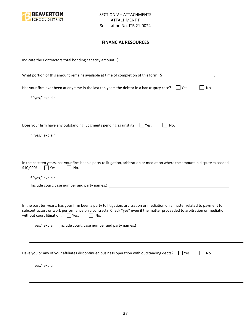

# **FINANCIAL RESOURCES**

| Indicate the Contractors total bonding capacity amount: \$                                                                                                                                                                                                                                                                                                                                |
|-------------------------------------------------------------------------------------------------------------------------------------------------------------------------------------------------------------------------------------------------------------------------------------------------------------------------------------------------------------------------------------------|
| What portion of this amount remains available at time of completion of this form? \$                                                                                                                                                                                                                                                                                                      |
| Has your firm ever been at any time in the last ten years the debtor in a bankruptcy case? $\Box$ Yes.<br>No.<br>If "yes," explain.                                                                                                                                                                                                                                                       |
|                                                                                                                                                                                                                                                                                                                                                                                           |
| Does your firm have any outstanding judgments pending against it? $\Box$ Yes.<br>No.                                                                                                                                                                                                                                                                                                      |
| If "yes," explain.                                                                                                                                                                                                                                                                                                                                                                        |
| In the past ten years, has your firm been a party to litigation, arbitration or mediation where the amount in dispute exceeded<br>\$10,000?<br>Yes.<br>No.<br>If "yes," explain.                                                                                                                                                                                                          |
| In the past ten years, has your firm been a party to litigation, arbitration or mediation on a matter related to payment to<br>subcontractors or work performance on a contract? Check "yes" even if the matter proceeded to arbitration or mediation<br>without court litigation. $\Box$ Yes.<br>No.<br>$\mathbf{1}$<br>If "yes," explain. (Include court, case number and party names.) |
|                                                                                                                                                                                                                                                                                                                                                                                           |
| Have you or any of your affiliates discontinued business operation with outstanding debts?<br>No.<br>$ $ Yes.                                                                                                                                                                                                                                                                             |
| If "yes," explain.                                                                                                                                                                                                                                                                                                                                                                        |
|                                                                                                                                                                                                                                                                                                                                                                                           |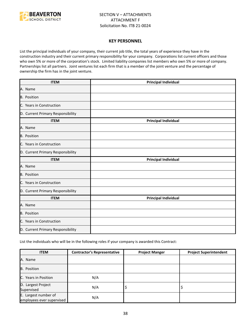

#### **KEY PERSONNEL**

List the principal individuals of your company, their current job title, the total years of experience they have in the construction industry and their current primary responsibility for your company. Corporations list current officers and those who own 5% or more of the corporation's stock. Limited liability companies list members who own 5% or more of company. Partnerships list all partners. Joint ventures list each firm that is a member of the joint venture and the percentage of ownership the firm has in the joint venture.

| <b>ITEM</b>                       | <b>Principal Individual</b> |
|-----------------------------------|-----------------------------|
| A. Name                           |                             |
| B. Position                       |                             |
| C. Years in Construction          |                             |
| D. Current Primary Responsibility |                             |
| <b>ITEM</b>                       | <b>Principal Individual</b> |
| A. Name                           |                             |
| <b>B.</b> Position                |                             |
| C. Years in Construction          |                             |
| D. Current Primary Responsibility |                             |
| <b>ITEM</b>                       | <b>Principal Individual</b> |
| A. Name                           |                             |
| <b>B.</b> Position                |                             |
| C. Years in Construction          |                             |
| D. Current Primary Responsibility |                             |
| <b>ITEM</b>                       | <b>Principal Individual</b> |
| A. Name                           |                             |
| B. Position                       |                             |
| C. Years in Construction          |                             |
| D. Current Primary Responsibility |                             |

List the individuals who will be in the following roles if your company is awarded this Contract:

| <b>ITEM</b>                                       | <b>Contractor's Representative</b> | <b>Project Manger</b> | <b>Project Superintendent</b> |
|---------------------------------------------------|------------------------------------|-----------------------|-------------------------------|
| A. Name                                           |                                    |                       |                               |
| B. Position                                       |                                    |                       |                               |
| C. Years in Position                              | N/A                                |                       |                               |
| D. Largest Project<br>Supervised                  | N/A                                | ₽                     |                               |
| E. Largest number of<br>employees ever supervised | N/A                                |                       |                               |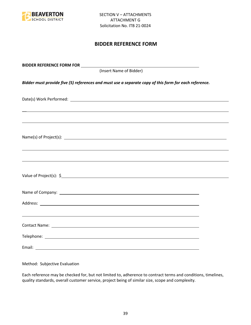

# **BIDDER REFERENCE FORM**

| (Insert Name of Bidder)                                                                               |  |
|-------------------------------------------------------------------------------------------------------|--|
| Bidder must provide five (5) references and must use a separate copy of this form for each reference. |  |
|                                                                                                       |  |
| ,我们也不会有什么。""我们的人,我们也不会有什么?""我们的人,我们也不会有什么?""我们的人,我们也不会有什么?""我们的人,我们也不会有什么?""我们的人                      |  |
|                                                                                                       |  |
| ,我们也不能会有一个人的事情。""我们的人,我们也不能会有一个人的人,我们也不能会有一个人的人,我们也不能会有一个人的人,我们也不能会有一个人的人,我们也不能会                      |  |
|                                                                                                       |  |
|                                                                                                       |  |
|                                                                                                       |  |
|                                                                                                       |  |
|                                                                                                       |  |
|                                                                                                       |  |

Method: Subjective Evaluation

Each reference may be checked for, but not limited to, adherence to contract terms and conditions, timelines, quality standards, overall customer service, project being of similar size, scope and complexity.